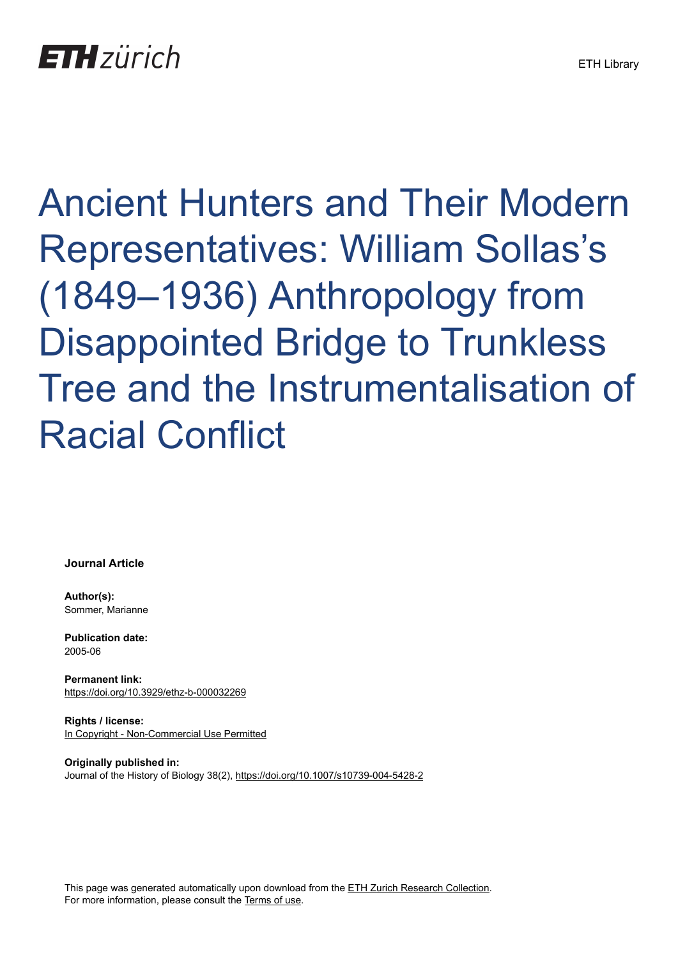# Ancient Hunters and Their Modern Representatives: William Sollas's (1849–1936) Anthropology from Disappointed Bridge to Trunkless Tree and the Instrumentalisation of Racial Conflict

**Journal Article**

**Author(s):** Sommer, Marianne

**Publication date:** 2005-06

**Permanent link:** <https://doi.org/10.3929/ethz-b-000032269>

**Rights / license:** [In Copyright - Non-Commercial Use Permitted](http://rightsstatements.org/page/InC-NC/1.0/)

**Originally published in:** Journal of the History of Biology 38(2), <https://doi.org/10.1007/s10739-004-5428-2>

This page was generated automatically upon download from the [ETH Zurich Research Collection.](https://www.research-collection.ethz.ch) For more information, please consult the [Terms of use](https://www.research-collection.ethz.ch/terms-of-use).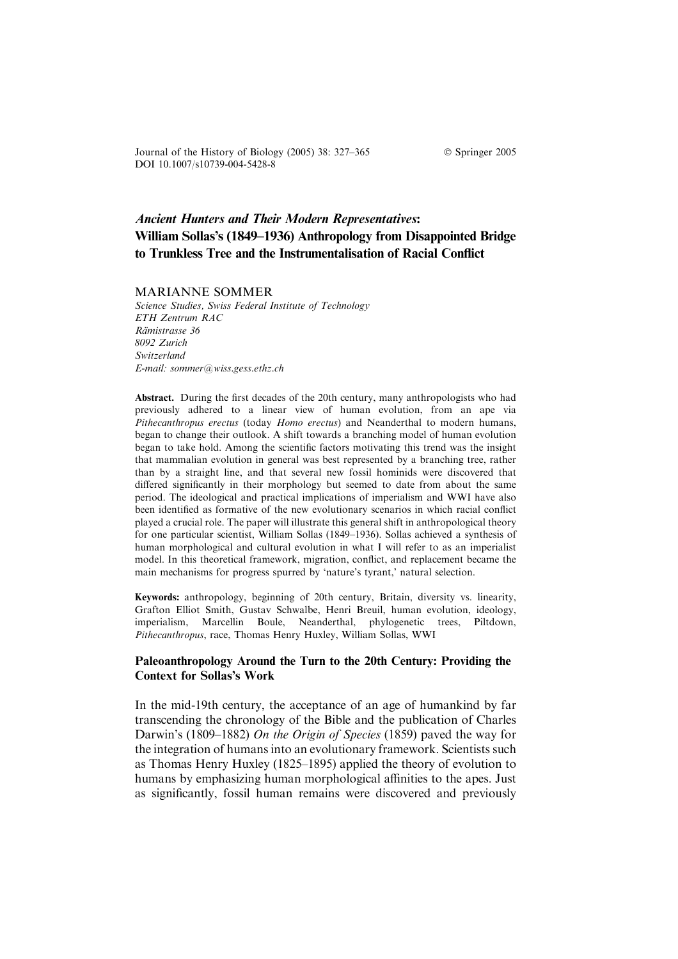Journal of the History of Biology (2005) 38:  $327-365$   $\circ$  Springer 2005 DOI 10.1007/s10739-004-5428-8

# Ancient Hunters and Their Modern Representatives: William Sollas's (1849–1936) Anthropology from Disappointed Bridge to Trunkless Tree and the Instrumentalisation of Racial Conflict

#### MARIANNE SOMMER

Science Studies, Swiss Federal Institute of Technology ETH Zentrum RAC Rämistrasse 36 8092 Zurich Switzerland E-mail: sommer@wiss.gess.ethz.ch

Abstract. During the first decades of the 20th century, many anthropologists who had previously adhered to a linear view of human evolution, from an ape via Pithecanthropus erectus (today Homo erectus) and Neanderthal to modern humans, began to change their outlook. A shift towards a branching model of human evolution began to take hold. Among the scientific factors motivating this trend was the insight that mammalian evolution in general was best represented by a branching tree, rather than by a straight line, and that several new fossil hominids were discovered that differed significantly in their morphology but seemed to date from about the same period. The ideological and practical implications of imperialism and WWI have also been identified as formative of the new evolutionary scenarios in which racial conflict played a crucial role. The paper will illustrate this general shift in anthropological theory for one particular scientist, William Sollas (1849–1936). Sollas achieved a synthesis of human morphological and cultural evolution in what I will refer to as an imperialist model. In this theoretical framework, migration, conflict, and replacement became the main mechanisms for progress spurred by 'nature's tyrant,' natural selection.

Keywords: anthropology, beginning of 20th century, Britain, diversity vs. linearity, Grafton Elliot Smith, Gustav Schwalbe, Henri Breuil, human evolution, ideology, imperialism, Marcellin Boule, Neanderthal, phylogenetic trees, Piltdown, Pithecanthropus, race, Thomas Henry Huxley, William Sollas, WWI

### Paleoanthropology Around the Turn to the 20th Century: Providing the Context for Sollas's Work

In the mid-19th century, the acceptance of an age of humankind by far transcending the chronology of the Bible and the publication of Charles Darwin's (1809–1882) On the Origin of Species (1859) paved the way for the integration of humans into an evolutionary framework. Scientists such as Thomas Henry Huxley (1825–1895) applied the theory of evolution to humans by emphasizing human morphological affinities to the apes. Just as significantly, fossil human remains were discovered and previously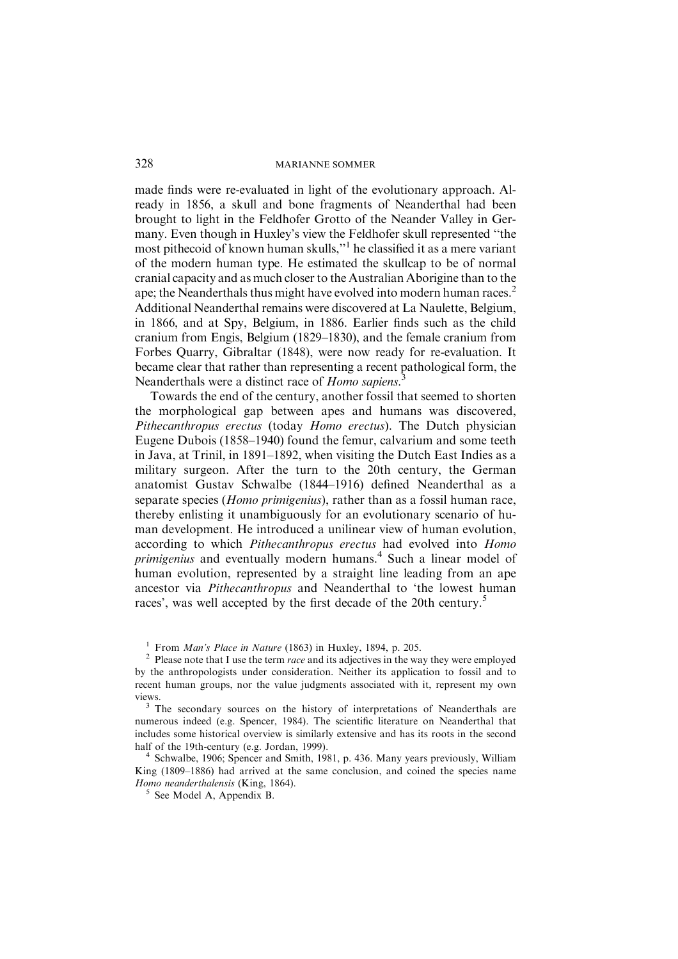made finds were re-evaluated in light of the evolutionary approach. Already in 1856, a skull and bone fragments of Neanderthal had been brought to light in the Feldhofer Grotto of the Neander Valley in Germany. Even though in Huxley's view the Feldhofer skull represented ''the most pithecoid of known human skulls,''1 he classified it as a mere variant of the modern human type. He estimated the skullcap to be of normal cranial capacity and as much closer to the Australian Aborigine than to the ape; the Neanderthals thus might have evolved into modern human races.<sup>2</sup> Additional Neanderthal remains were discovered at La Naulette, Belgium, in 1866, and at Spy, Belgium, in 1886. Earlier finds such as the child cranium from Engis, Belgium (1829–1830), and the female cranium from Forbes Quarry, Gibraltar (1848), were now ready for re-evaluation. It became clear that rather than representing a recent pathological form, the Neanderthals were a distinct race of *Homo sapiens*.<sup>3</sup>

Towards the end of the century, another fossil that seemed to shorten the morphological gap between apes and humans was discovered, Pithecanthropus erectus (today Homo erectus). The Dutch physician Eugene Dubois (1858–1940) found the femur, calvarium and some teeth in Java, at Trinil, in 1891–1892, when visiting the Dutch East Indies as a military surgeon. After the turn to the 20th century, the German anatomist Gustav Schwalbe (1844–1916) defined Neanderthal as a separate species (Homo primigenius), rather than as a fossil human race, thereby enlisting it unambiguously for an evolutionary scenario of human development. He introduced a unilinear view of human evolution, according to which Pithecanthropus erectus had evolved into Homo primigenius and eventually modern humans.<sup>4</sup> Such a linear model of human evolution, represented by a straight line leading from an ape ancestor via Pithecanthropus and Neanderthal to 'the lowest human races', was well accepted by the first decade of the 20th century.<sup>5</sup>

<sup>4</sup> Schwalbe, 1906; Spencer and Smith, 1981, p. 436. Many years previously, William King (1809–1886) had arrived at the same conclusion, and coined the species name Homo neanderthalensis (King, 1864).<br><sup>5</sup> See Model A, Appendix B.

<sup>&</sup>lt;sup>1</sup> From *Man's Place in Nature* (1863) in Huxley, 1894, p. 205.<br><sup>2</sup> Please note that I use the term *race* and its adjectives in the way they were employed by the anthropologists under consideration. Neither its application to fossil and to recent human groups, nor the value judgments associated with it, represent my own

views. <sup>3</sup> The secondary sources on the history of interpretations of Neanderthals are numerous indeed (e.g. Spencer, 1984). The scientific literature on Neanderthal that includes some historical overview is similarly extensive and has its roots in the second half of the 19th-century (e.g. Jordan, 1999).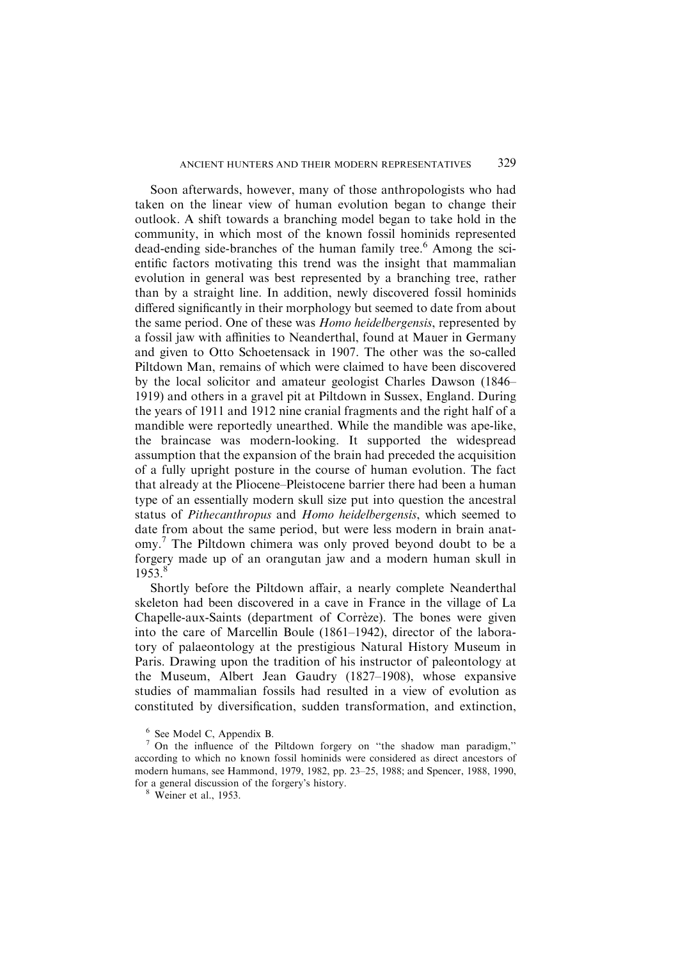Soon afterwards, however, many of those anthropologists who had taken on the linear view of human evolution began to change their outlook. A shift towards a branching model began to take hold in the community, in which most of the known fossil hominids represented dead-ending side-branches of the human family tree.<sup>6</sup> Among the scientific factors motivating this trend was the insight that mammalian evolution in general was best represented by a branching tree, rather than by a straight line. In addition, newly discovered fossil hominids differed significantly in their morphology but seemed to date from about the same period. One of these was Homo heidelbergensis, represented by a fossil jaw with affinities to Neanderthal, found at Mauer in Germany and given to Otto Schoetensack in 1907. The other was the so-called Piltdown Man, remains of which were claimed to have been discovered by the local solicitor and amateur geologist Charles Dawson (1846– 1919) and others in a gravel pit at Piltdown in Sussex, England. During the years of 1911 and 1912 nine cranial fragments and the right half of a mandible were reportedly unearthed. While the mandible was ape-like, the braincase was modern-looking. It supported the widespread assumption that the expansion of the brain had preceded the acquisition of a fully upright posture in the course of human evolution. The fact that already at the Pliocene–Pleistocene barrier there had been a human type of an essentially modern skull size put into question the ancestral status of Pithecanthropus and Homo heidelbergensis, which seemed to date from about the same period, but were less modern in brain anatomy.7 The Piltdown chimera was only proved beyond doubt to be a forgery made up of an orangutan jaw and a modern human skull in 1953.8

Shortly before the Piltdown affair, a nearly complete Neanderthal skeleton had been discovered in a cave in France in the village of La Chapelle-aux-Saints (department of Corrèze). The bones were given into the care of Marcellin Boule (1861–1942), director of the laboratory of palaeontology at the prestigious Natural History Museum in Paris. Drawing upon the tradition of his instructor of paleontology at the Museum, Albert Jean Gaudry (1827–1908), whose expansive studies of mammalian fossils had resulted in a view of evolution as constituted by diversification, sudden transformation, and extinction,

<sup>&</sup>lt;sup>6</sup> See Model C, Appendix B.<br><sup>7</sup> On the influence of the Piltdown forgery on "the shadow man paradigm," according to which no known fossil hominids were considered as direct ancestors of modern humans, see Hammond, 1979, 1982, pp. 23–25, 1988; and Spencer, 1988, 1990, for a general discussion of the forgery's history. <sup>8</sup> Weiner et al., 1953.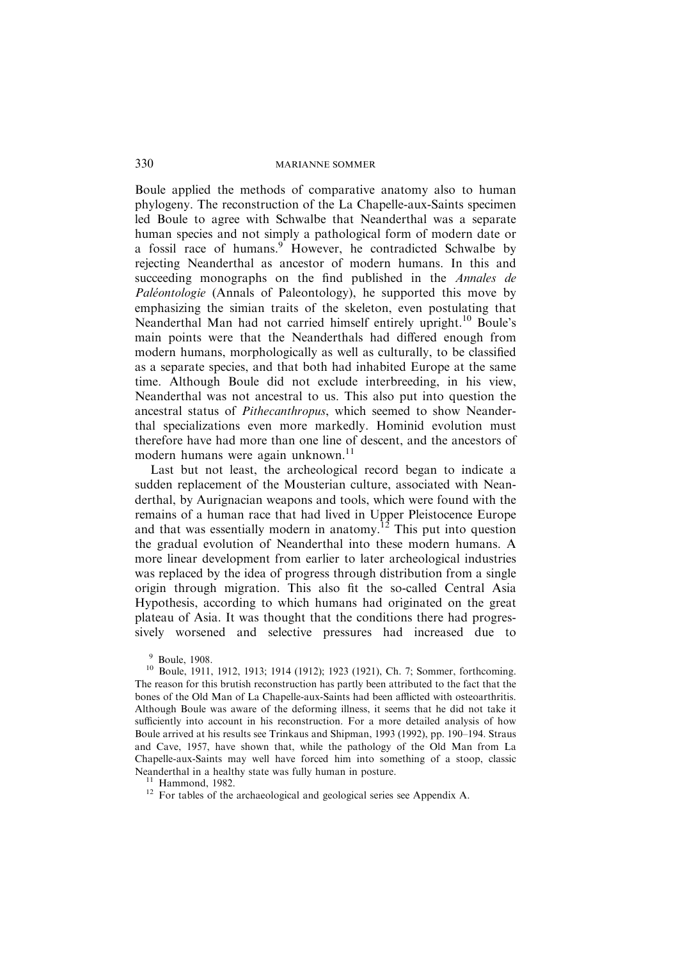Boule applied the methods of comparative anatomy also to human phylogeny. The reconstruction of the La Chapelle-aux-Saints specimen led Boule to agree with Schwalbe that Neanderthal was a separate human species and not simply a pathological form of modern date or a fossil race of humans. $9 + 1 + 1 = 1$  contradicted Schwalbe by rejecting Neanderthal as ancestor of modern humans. In this and succeeding monographs on the find published in the Annales de Paléontologie (Annals of Paleontology), he supported this move by emphasizing the simian traits of the skeleton, even postulating that Neanderthal Man had not carried himself entirely upright.<sup>10</sup> Boule's main points were that the Neanderthals had differed enough from modern humans, morphologically as well as culturally, to be classified as a separate species, and that both had inhabited Europe at the same time. Although Boule did not exclude interbreeding, in his view, Neanderthal was not ancestral to us. This also put into question the ancestral status of Pithecanthropus, which seemed to show Neanderthal specializations even more markedly. Hominid evolution must therefore have had more than one line of descent, and the ancestors of modern humans were again unknown.<sup>11</sup>

Last but not least, the archeological record began to indicate a sudden replacement of the Mousterian culture, associated with Neanderthal, by Aurignacian weapons and tools, which were found with the remains of a human race that had lived in Upper Pleistocence Europe and that was essentially modern in anatomy.<sup>12</sup> This put into question the gradual evolution of Neanderthal into these modern humans. A more linear development from earlier to later archeological industries was replaced by the idea of progress through distribution from a single origin through migration. This also fit the so-called Central Asia Hypothesis, according to which humans had originated on the great plateau of Asia. It was thought that the conditions there had progressively worsened and selective pressures had increased due to

<sup>9</sup> Boule, 1908.<br><sup>10</sup> Boule, 1911, 1912, 1913; 1914 (1912); 1923 (1921), Ch. 7; Sommer, forthcoming. The reason for this brutish reconstruction has partly been attributed to the fact that the bones of the Old Man of La Chapelle-aux-Saints had been afflicted with osteoarthritis. Although Boule was aware of the deforming illness, it seems that he did not take it sufficiently into account in his reconstruction. For a more detailed analysis of how Boule arrived at his results see Trinkaus and Shipman, 1993 (1992), pp. 190–194. Straus and Cave, 1957, have shown that, while the pathology of the Old Man from La Chapelle-aux-Saints may well have forced him into something of a stoop, classic Neanderthal in a healthy state was fully human in posture.<br><sup>11</sup> Hammond, 1982.<br><sup>12</sup> For tables of the archaeological and geological series see Appendix A.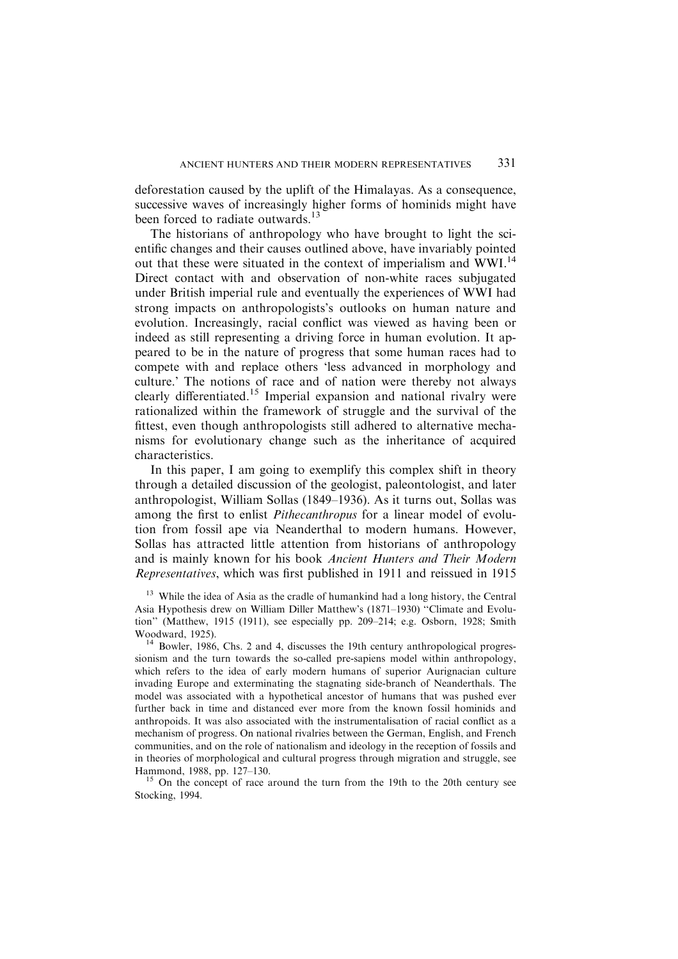deforestation caused by the uplift of the Himalayas. As a consequence, successive waves of increasingly higher forms of hominids might have been forced to radiate outwards.<sup>13</sup>

The historians of anthropology who have brought to light the scientific changes and their causes outlined above, have invariably pointed out that these were situated in the context of imperialism and WWI.14 Direct contact with and observation of non-white races subjugated under British imperial rule and eventually the experiences of WWI had strong impacts on anthropologists's outlooks on human nature and evolution. Increasingly, racial conflict was viewed as having been or indeed as still representing a driving force in human evolution. It appeared to be in the nature of progress that some human races had to compete with and replace others 'less advanced in morphology and culture.' The notions of race and of nation were thereby not always clearly differentiated.<sup>15</sup> Imperial expansion and national rivalry were rationalized within the framework of struggle and the survival of the fittest, even though anthropologists still adhered to alternative mechanisms for evolutionary change such as the inheritance of acquired characteristics.

In this paper, I am going to exemplify this complex shift in theory through a detailed discussion of the geologist, paleontologist, and later anthropologist, William Sollas (1849–1936). As it turns out, Sollas was among the first to enlist Pithecanthropus for a linear model of evolution from fossil ape via Neanderthal to modern humans. However, Sollas has attracted little attention from historians of anthropology and is mainly known for his book Ancient Hunters and Their Modern Representatives, which was first published in 1911 and reissued in 1915

<sup>13</sup> While the idea of Asia as the cradle of humankind had a long history, the Central Asia Hypothesis drew on William Diller Matthew's (1871–1930) ''Climate and Evolution'' (Matthew, 1915 (1911), see especially pp. 209–214; e.g. Osborn, 1928; Smith

<sup>14</sup> Bowler, 1986, Chs. 2 and 4, discusses the 19th century anthropological progressionism and the turn towards the so-called pre-sapiens model within anthropology, which refers to the idea of early modern humans of superior Aurignacian culture invading Europe and exterminating the stagnating side-branch of Neanderthals. The model was associated with a hypothetical ancestor of humans that was pushed ever further back in time and distanced ever more from the known fossil hominids and anthropoids. It was also associated with the instrumentalisation of racial conflict as a mechanism of progress. On national rivalries between the German, English, and French communities, and on the role of nationalism and ideology in the reception of fossils and in theories of morphological and cultural progress through migration and struggle, see Hammond, 1988, pp. 127–130.<br><sup>15</sup> On the concept of race around the turn from the 19th to the 20th century see

Stocking, 1994.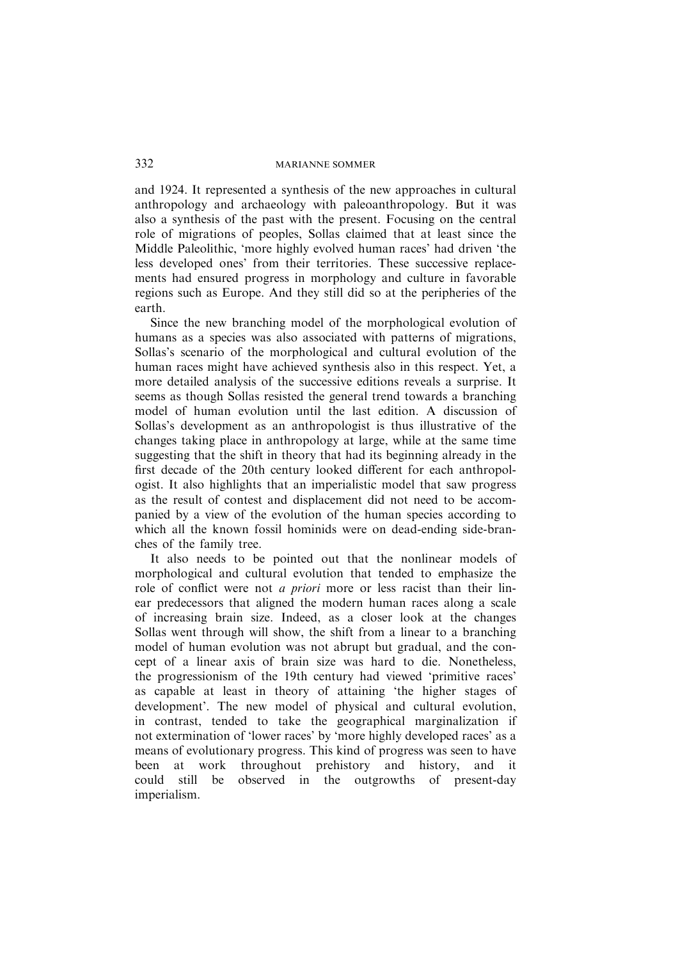and 1924. It represented a synthesis of the new approaches in cultural anthropology and archaeology with paleoanthropology. But it was also a synthesis of the past with the present. Focusing on the central role of migrations of peoples, Sollas claimed that at least since the Middle Paleolithic, 'more highly evolved human races' had driven 'the less developed ones' from their territories. These successive replacements had ensured progress in morphology and culture in favorable regions such as Europe. And they still did so at the peripheries of the earth.

Since the new branching model of the morphological evolution of humans as a species was also associated with patterns of migrations, Sollas's scenario of the morphological and cultural evolution of the human races might have achieved synthesis also in this respect. Yet, a more detailed analysis of the successive editions reveals a surprise. It seems as though Sollas resisted the general trend towards a branching model of human evolution until the last edition. A discussion of Sollas's development as an anthropologist is thus illustrative of the changes taking place in anthropology at large, while at the same time suggesting that the shift in theory that had its beginning already in the first decade of the 20th century looked different for each anthropologist. It also highlights that an imperialistic model that saw progress as the result of contest and displacement did not need to be accompanied by a view of the evolution of the human species according to which all the known fossil hominids were on dead-ending side-branches of the family tree.

It also needs to be pointed out that the nonlinear models of morphological and cultural evolution that tended to emphasize the role of conflict were not a priori more or less racist than their linear predecessors that aligned the modern human races along a scale of increasing brain size. Indeed, as a closer look at the changes Sollas went through will show, the shift from a linear to a branching model of human evolution was not abrupt but gradual, and the concept of a linear axis of brain size was hard to die. Nonetheless, the progressionism of the 19th century had viewed 'primitive races' as capable at least in theory of attaining 'the higher stages of development'. The new model of physical and cultural evolution, in contrast, tended to take the geographical marginalization if not extermination of 'lower races' by 'more highly developed races' as a means of evolutionary progress. This kind of progress was seen to have been at work throughout prehistory and history, and it could still be observed in the outgrowths of present-day imperialism.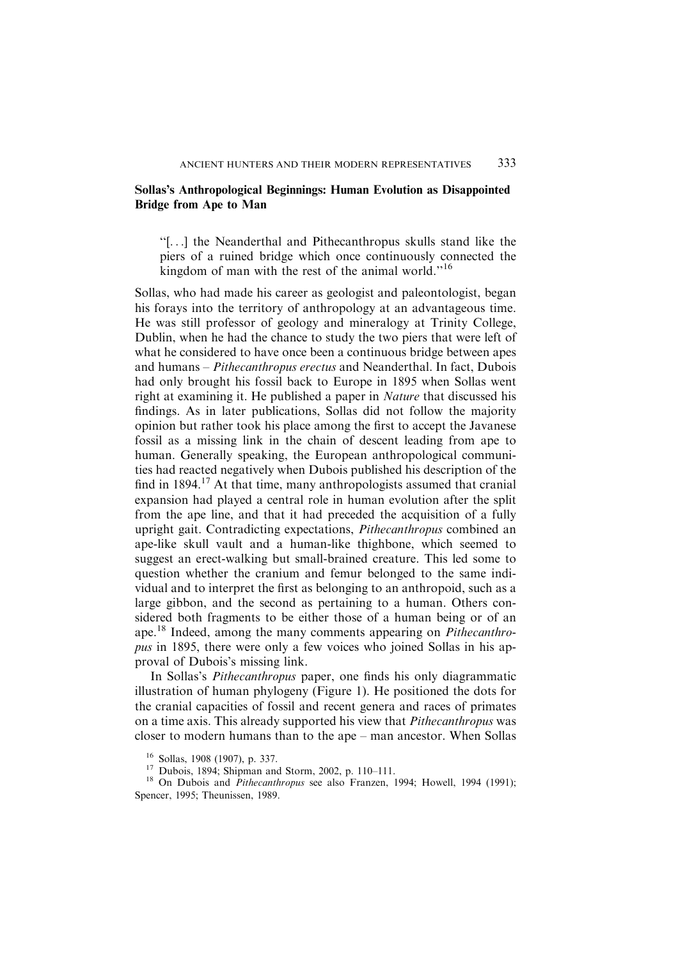# Sollas's Anthropological Beginnings: Human Evolution as Disappointed Bridge from Ape to Man

''[...] the Neanderthal and Pithecanthropus skulls stand like the piers of a ruined bridge which once continuously connected the kingdom of man with the rest of the animal world. $^{16}$ 

Sollas, who had made his career as geologist and paleontologist, began his forays into the territory of anthropology at an advantageous time. He was still professor of geology and mineralogy at Trinity College, Dublin, when he had the chance to study the two piers that were left of what he considered to have once been a continuous bridge between apes and humans – Pithecanthropus erectus and Neanderthal. In fact, Dubois had only brought his fossil back to Europe in 1895 when Sollas went right at examining it. He published a paper in Nature that discussed his findings. As in later publications, Sollas did not follow the majority opinion but rather took his place among the first to accept the Javanese fossil as a missing link in the chain of descent leading from ape to human. Generally speaking, the European anthropological communities had reacted negatively when Dubois published his description of the find in  $1894<sup>17</sup>$  At that time, many anthropologists assumed that cranial expansion had played a central role in human evolution after the split from the ape line, and that it had preceded the acquisition of a fully upright gait. Contradicting expectations, Pithecanthropus combined an ape-like skull vault and a human-like thighbone, which seemed to suggest an erect-walking but small-brained creature. This led some to question whether the cranium and femur belonged to the same individual and to interpret the first as belonging to an anthropoid, such as a large gibbon, and the second as pertaining to a human. Others considered both fragments to be either those of a human being or of an ape.<sup>18</sup> Indeed, among the many comments appearing on *Pithecanthro*pus in 1895, there were only a few voices who joined Sollas in his approval of Dubois's missing link.

In Sollas's Pithecanthropus paper, one finds his only diagrammatic illustration of human phylogeny (Figure 1). He positioned the dots for the cranial capacities of fossil and recent genera and races of primates on a time axis. This already supported his view that Pithecanthropus was closer to modern humans than to the ape – man ancestor. When Sollas

<sup>&</sup>lt;sup>16</sup> Sollas, 1908 (1907), p. 337.<br><sup>17</sup> Dubois, 1894; Shipman and Storm, 2002, p. 110–111.<br><sup>18</sup> On Dubois and *Pithecanthropus* see also Franzen, 1994; Howell, 1994 (1991); Spencer, 1995; Theunissen, 1989.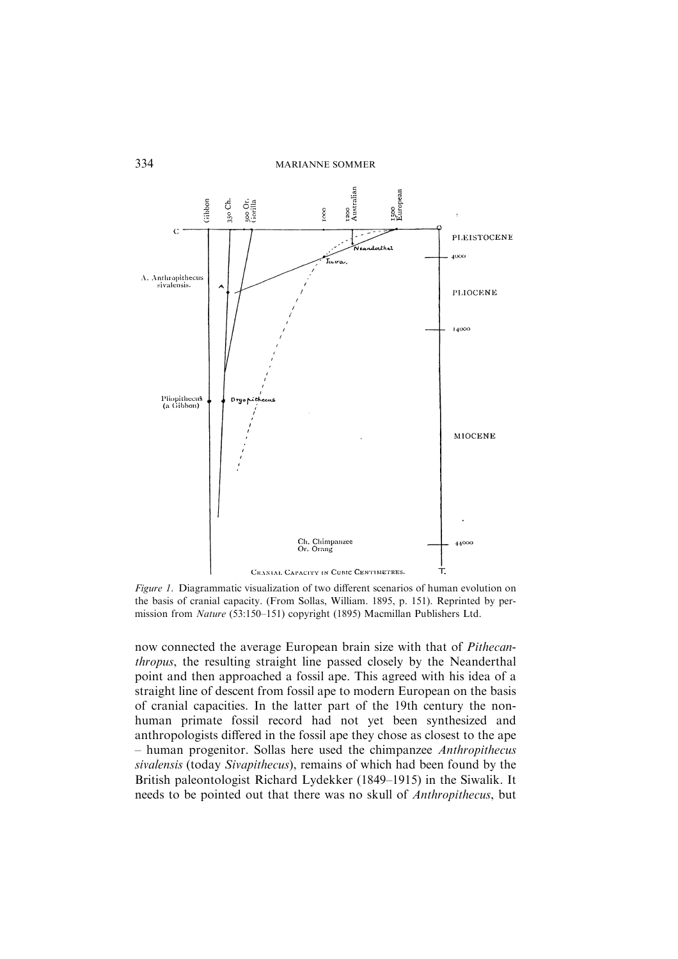

Figure 1. Diagrammatic visualization of two different scenarios of human evolution on the basis of cranial capacity. (From Sollas, William. 1895, p. 151). Reprinted by permission from Nature (53:150–151) copyright (1895) Macmillan Publishers Ltd.

now connected the average European brain size with that of Pithecanthropus, the resulting straight line passed closely by the Neanderthal point and then approached a fossil ape. This agreed with his idea of a straight line of descent from fossil ape to modern European on the basis of cranial capacities. In the latter part of the 19th century the nonhuman primate fossil record had not yet been synthesized and anthropologists differed in the fossil ape they chose as closest to the ape – human progenitor. Sollas here used the chimpanzee Anthropithecus sivalensis (today Sivapithecus), remains of which had been found by the British paleontologist Richard Lydekker (1849–1915) in the Siwalik. It needs to be pointed out that there was no skull of Anthropithecus, but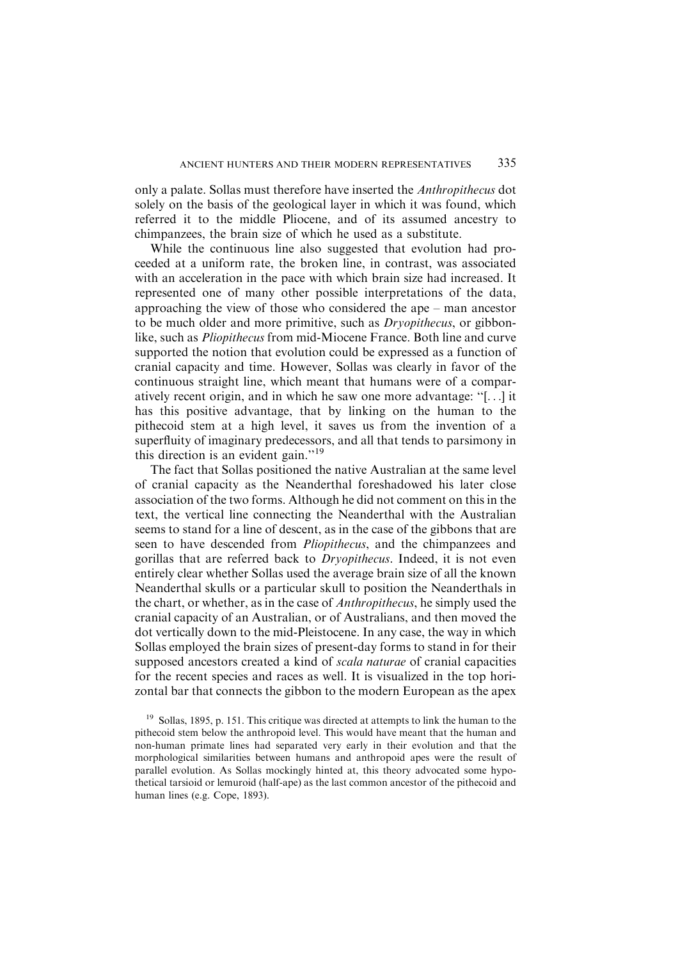only a palate. Sollas must therefore have inserted the Anthropithecus dot solely on the basis of the geological layer in which it was found, which referred it to the middle Pliocene, and of its assumed ancestry to chimpanzees, the brain size of which he used as a substitute.

While the continuous line also suggested that evolution had proceeded at a uniform rate, the broken line, in contrast, was associated with an acceleration in the pace with which brain size had increased. It represented one of many other possible interpretations of the data, approaching the view of those who considered the ape – man ancestor to be much older and more primitive, such as Dryopithecus, or gibbonlike, such as Pliopithecus from mid-Miocene France. Both line and curve supported the notion that evolution could be expressed as a function of cranial capacity and time. However, Sollas was clearly in favor of the continuous straight line, which meant that humans were of a comparatively recent origin, and in which he saw one more advantage: ''[...] it has this positive advantage, that by linking on the human to the pithecoid stem at a high level, it saves us from the invention of a superfluity of imaginary predecessors, and all that tends to parsimony in this direction is an evident gain. $1<sup>9</sup>$ 

The fact that Sollas positioned the native Australian at the same level of cranial capacity as the Neanderthal foreshadowed his later close association of the two forms. Although he did not comment on this in the text, the vertical line connecting the Neanderthal with the Australian seems to stand for a line of descent, as in the case of the gibbons that are seen to have descended from Pliopithecus, and the chimpanzees and gorillas that are referred back to Dryopithecus. Indeed, it is not even entirely clear whether Sollas used the average brain size of all the known Neanderthal skulls or a particular skull to position the Neanderthals in the chart, or whether, as in the case of Anthropithecus, he simply used the cranial capacity of an Australian, or of Australians, and then moved the dot vertically down to the mid-Pleistocene. In any case, the way in which Sollas employed the brain sizes of present-day forms to stand in for their supposed ancestors created a kind of scala naturae of cranial capacities for the recent species and races as well. It is visualized in the top horizontal bar that connects the gibbon to the modern European as the apex

<sup>&</sup>lt;sup>19</sup> Sollas, 1895, p. 151. This critique was directed at attempts to link the human to the pithecoid stem below the anthropoid level. This would have meant that the human and non-human primate lines had separated very early in their evolution and that the morphological similarities between humans and anthropoid apes were the result of parallel evolution. As Sollas mockingly hinted at, this theory advocated some hypothetical tarsioid or lemuroid (half-ape) as the last common ancestor of the pithecoid and human lines (e.g. Cope, 1893).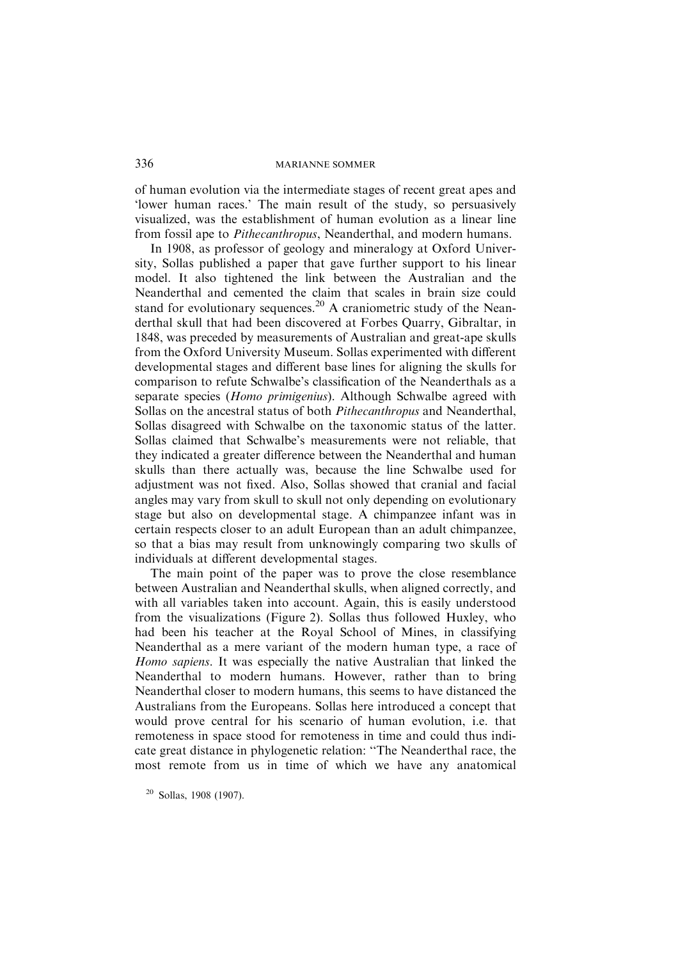of human evolution via the intermediate stages of recent great apes and 'lower human races.' The main result of the study, so persuasively visualized, was the establishment of human evolution as a linear line from fossil ape to Pithecanthropus, Neanderthal, and modern humans.

In 1908, as professor of geology and mineralogy at Oxford University, Sollas published a paper that gave further support to his linear model. It also tightened the link between the Australian and the Neanderthal and cemented the claim that scales in brain size could stand for evolutionary sequences.<sup>20</sup> A craniometric study of the Neanderthal skull that had been discovered at Forbes Quarry, Gibraltar, in 1848, was preceded by measurements of Australian and great-ape skulls from the Oxford University Museum. Sollas experimented with different developmental stages and different base lines for aligning the skulls for comparison to refute Schwalbe's classification of the Neanderthals as a separate species (Homo primigenius). Although Schwalbe agreed with Sollas on the ancestral status of both Pithecanthropus and Neanderthal, Sollas disagreed with Schwalbe on the taxonomic status of the latter. Sollas claimed that Schwalbe's measurements were not reliable, that they indicated a greater difference between the Neanderthal and human skulls than there actually was, because the line Schwalbe used for adjustment was not fixed. Also, Sollas showed that cranial and facial angles may vary from skull to skull not only depending on evolutionary stage but also on developmental stage. A chimpanzee infant was in certain respects closer to an adult European than an adult chimpanzee, so that a bias may result from unknowingly comparing two skulls of individuals at different developmental stages.

The main point of the paper was to prove the close resemblance between Australian and Neanderthal skulls, when aligned correctly, and with all variables taken into account. Again, this is easily understood from the visualizations (Figure 2). Sollas thus followed Huxley, who had been his teacher at the Royal School of Mines, in classifying Neanderthal as a mere variant of the modern human type, a race of Homo sapiens. It was especially the native Australian that linked the Neanderthal to modern humans. However, rather than to bring Neanderthal closer to modern humans, this seems to have distanced the Australians from the Europeans. Sollas here introduced a concept that would prove central for his scenario of human evolution, i.e. that remoteness in space stood for remoteness in time and could thus indicate great distance in phylogenetic relation: ''The Neanderthal race, the most remote from us in time of which we have any anatomical

<sup>20</sup> Sollas, 1908 (1907).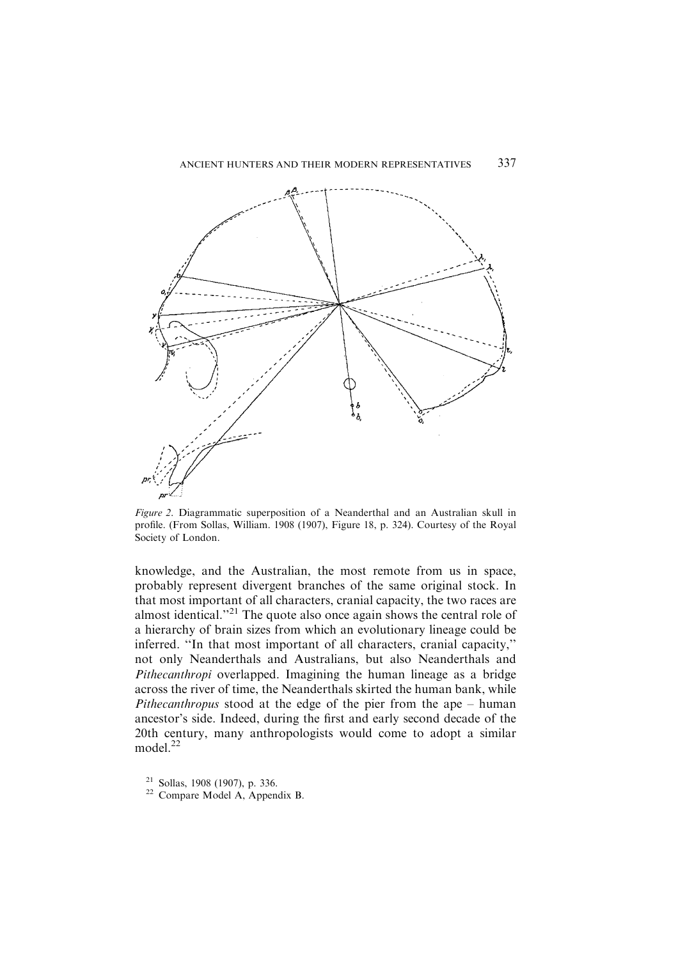

Figure 2. Diagrammatic superposition of a Neanderthal and an Australian skull in profile. (From Sollas, William. 1908 (1907), Figure 18, p. 324). Courtesy of the Royal Society of London.

knowledge, and the Australian, the most remote from us in space, probably represent divergent branches of the same original stock. In that most important of all characters, cranial capacity, the two races are almost identical.''21 The quote also once again shows the central role of a hierarchy of brain sizes from which an evolutionary lineage could be inferred. ''In that most important of all characters, cranial capacity,'' not only Neanderthals and Australians, but also Neanderthals and Pithecanthropi overlapped. Imagining the human lineage as a bridge across the river of time, the Neanderthals skirted the human bank, while Pithecanthropus stood at the edge of the pier from the ape – human ancestor's side. Indeed, during the first and early second decade of the 20th century, many anthropologists would come to adopt a similar model.<sup>22</sup>

 $\frac{21}{22}$  Sollas, 1908 (1907), p. 336.<br><sup>22</sup> Compare Model A, Appendix B.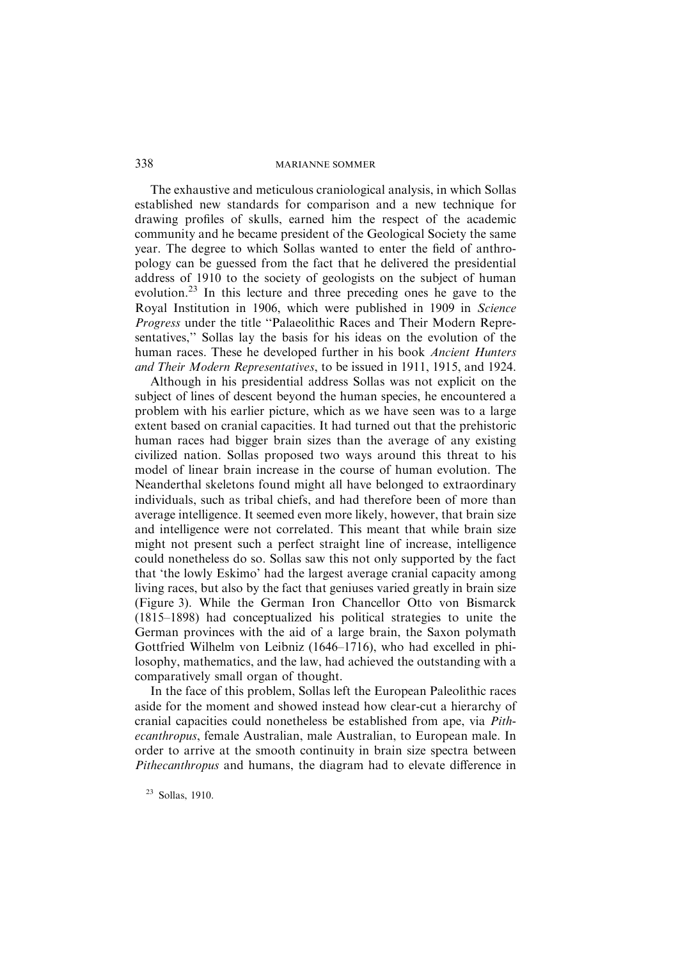The exhaustive and meticulous craniological analysis, in which Sollas established new standards for comparison and a new technique for drawing profiles of skulls, earned him the respect of the academic community and he became president of the Geological Society the same year. The degree to which Sollas wanted to enter the field of anthropology can be guessed from the fact that he delivered the presidential address of 1910 to the society of geologists on the subject of human evolution.23 In this lecture and three preceding ones he gave to the Royal Institution in 1906, which were published in 1909 in Science Progress under the title "Palaeolithic Races and Their Modern Representatives,'' Sollas lay the basis for his ideas on the evolution of the human races. These he developed further in his book Ancient Hunters and Their Modern Representatives, to be issued in 1911, 1915, and 1924.

Although in his presidential address Sollas was not explicit on the subject of lines of descent beyond the human species, he encountered a problem with his earlier picture, which as we have seen was to a large extent based on cranial capacities. It had turned out that the prehistoric human races had bigger brain sizes than the average of any existing civilized nation. Sollas proposed two ways around this threat to his model of linear brain increase in the course of human evolution. The Neanderthal skeletons found might all have belonged to extraordinary individuals, such as tribal chiefs, and had therefore been of more than average intelligence. It seemed even more likely, however, that brain size and intelligence were not correlated. This meant that while brain size might not present such a perfect straight line of increase, intelligence could nonetheless do so. Sollas saw this not only supported by the fact that 'the lowly Eskimo' had the largest average cranial capacity among living races, but also by the fact that geniuses varied greatly in brain size (Figure 3). While the German Iron Chancellor Otto von Bismarck (1815–1898) had conceptualized his political strategies to unite the German provinces with the aid of a large brain, the Saxon polymath Gottfried Wilhelm von Leibniz (1646–1716), who had excelled in philosophy, mathematics, and the law, had achieved the outstanding with a comparatively small organ of thought.

In the face of this problem, Sollas left the European Paleolithic races aside for the moment and showed instead how clear-cut a hierarchy of cranial capacities could nonetheless be established from ape, via Pithecanthropus, female Australian, male Australian, to European male. In order to arrive at the smooth continuity in brain size spectra between Pithecanthropus and humans, the diagram had to elevate difference in

 $23$  Sollas, 1910.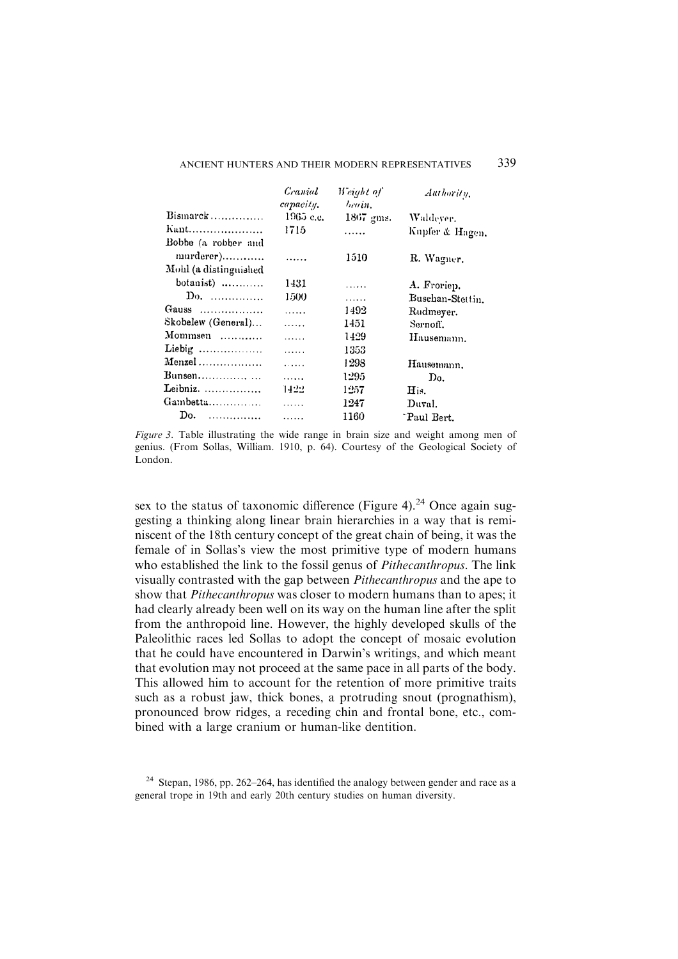|                       | Cranial     | Weight of | Authority.       |
|-----------------------|-------------|-----------|------------------|
|                       | capacity.   | hrain.    |                  |
| Bismarck              | $1965$ c.c. | 1867 gms. | Waldever.        |
| Kant                  | 1715        | .         | Kupfer & Hagen.  |
| Bobbe (a robber and   |             |           |                  |
| murderer)             | .           | 1510      | R. Wagner.       |
| Mohl (a distinguished |             |           |                  |
| botanist)             | 1431        | .         | A. Froriep.      |
| $D_0$ .               | 1500        | .         | Buschan-Stettin. |
| Gauss                 | .           | 1492      | Rudmeyer.        |
| Skobelew (General)    | .           | 1451      | Sernoff.         |
| Mommsen               |             | 1429      | Hausemann.       |
| Liebig                | .           | 1353      |                  |
| Menzel                | .           | 1298      | Hausemann.       |
| Bunsen                | .           | 1295      | Do.              |
| Leibniz.              | 1422        | 1257      | His.             |
| Gambettu              | $\ldots$ .  | 1247      | Duval.           |
| Do.<br>. <i>.</i>     |             | 1160      | "Paul Bert.      |

Figure 3. Table illustrating the wide range in brain size and weight among men of genius. (From Sollas, William. 1910, p. 64). Courtesy of the Geological Society of London.

sex to the status of taxonomic difference (Figure 4).<sup>24</sup> Once again suggesting a thinking along linear brain hierarchies in a way that is reminiscent of the 18th century concept of the great chain of being, it was the female of in Sollas's view the most primitive type of modern humans who established the link to the fossil genus of Pithecanthropus. The link visually contrasted with the gap between Pithecanthropus and the ape to show that Pithecanthropus was closer to modern humans than to apes; it had clearly already been well on its way on the human line after the split from the anthropoid line. However, the highly developed skulls of the Paleolithic races led Sollas to adopt the concept of mosaic evolution that he could have encountered in Darwin's writings, and which meant that evolution may not proceed at the same pace in all parts of the body. This allowed him to account for the retention of more primitive traits such as a robust jaw, thick bones, a protruding snout (prognathism), pronounced brow ridges, a receding chin and frontal bone, etc., combined with a large cranium or human-like dentition.

 $24$  Stepan, 1986, pp. 262–264, has identified the analogy between gender and race as a general trope in 19th and early 20th century studies on human diversity.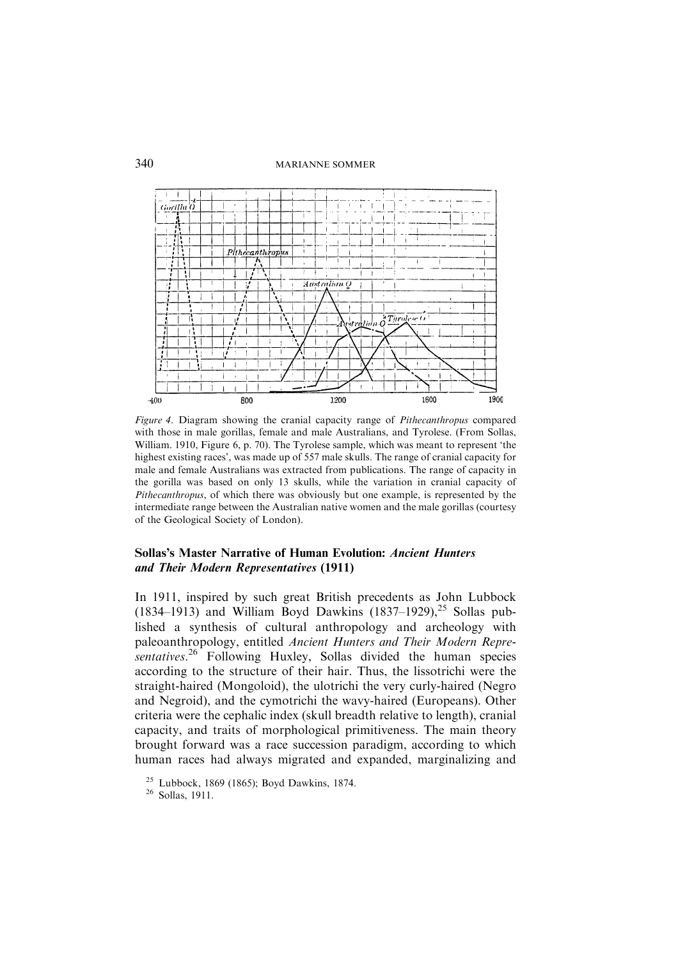

Figure 4. Diagram showing the cranial capacity range of Pithecanthropus compared with those in male gorillas, female and male Australians, and Tyrolese. (From Sollas, William. 1910, Figure 6, p. 70). The Tyrolese sample, which was meant to represent 'the highest existing races', was made up of 557 male skulls. The range of cranial capacity for male and female Australians was extracted from publications. The range of capacity in the gorilla was based on only 13 skulls, while the variation in cranial capacity of Pithecanthropus, of which there was obviously but one example, is represented by the intermediate range between the Australian native women and the male gorillas (courtesy of the Geological Society of London).

# Sollas's Master Narrative of Human Evolution: Ancient Hunters and Their Modern Representatives (1911)

In 1911, inspired by such great British precedents as John Lubbock (1834–1913) and William Boyd Dawkins (1837–1929),<sup>25</sup> Sollas published a synthesis of cultural anthropology and archeology with paleoanthropology, entitled Ancient Hunters and Their Modern Representatives.<sup>26</sup> Following Huxley, Sollas divided the human species according to the structure of their hair. Thus, the lissotrichi were the straight-haired (Mongoloid), the ulotrichi the very curly-haired (Negro and Negroid), and the cymotrichi the wavy-haired (Europeans). Other criteria were the cephalic index (skull breadth relative to length), cranial capacity, and traits of morphological primitiveness. The main theory brought forward was a race succession paradigm, according to which human races had always migrated and expanded, marginalizing and

<sup>&</sup>lt;sup>25</sup> Lubbock, 1869 (1865); Boyd Dawkins, 1874.<br><sup>26</sup> Sollas, 1911.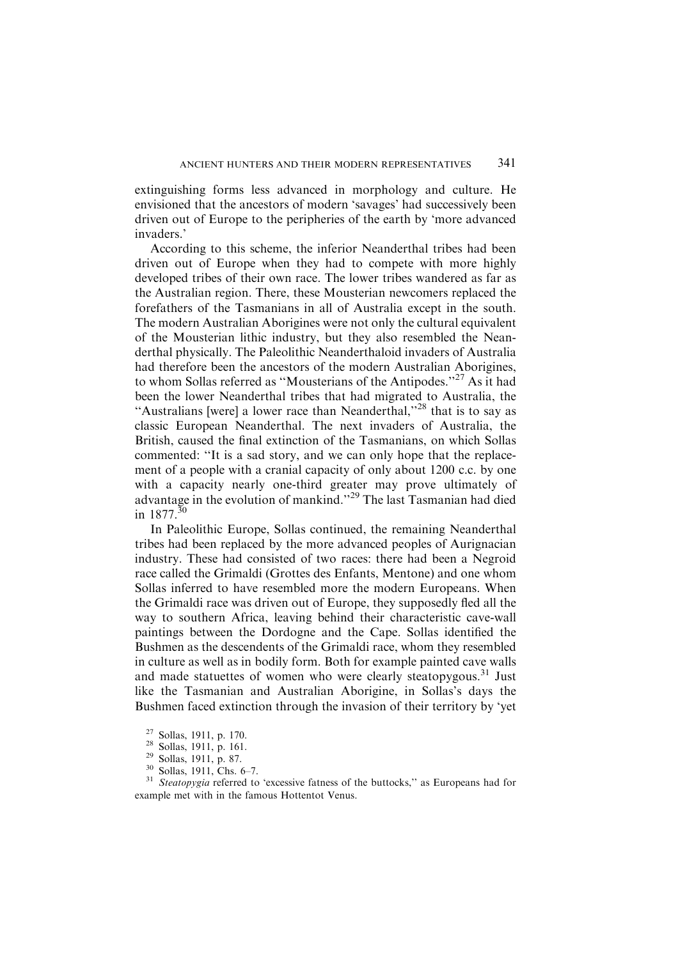extinguishing forms less advanced in morphology and culture. He envisioned that the ancestors of modern 'savages' had successively been driven out of Europe to the peripheries of the earth by 'more advanced invaders.'

According to this scheme, the inferior Neanderthal tribes had been driven out of Europe when they had to compete with more highly developed tribes of their own race. The lower tribes wandered as far as the Australian region. There, these Mousterian newcomers replaced the forefathers of the Tasmanians in all of Australia except in the south. The modern Australian Aborigines were not only the cultural equivalent of the Mousterian lithic industry, but they also resembled the Neanderthal physically. The Paleolithic Neanderthaloid invaders of Australia had therefore been the ancestors of the modern Australian Aborigines, to whom Sollas referred as ''Mousterians of the Antipodes.''<sup>27</sup> As it had been the lower Neanderthal tribes that had migrated to Australia, the "Australians [were] a lower race than Neanderthal,"<sup>28</sup> that is to say as classic European Neanderthal. The next invaders of Australia, the British, caused the final extinction of the Tasmanians, on which Sollas commented: ''It is a sad story, and we can only hope that the replacement of a people with a cranial capacity of only about 1200 c.c. by one with a capacity nearly one-third greater may prove ultimately of advantage in the evolution of mankind.''29 The last Tasmanian had died in  $1877.\overline{30}$ 

In Paleolithic Europe, Sollas continued, the remaining Neanderthal tribes had been replaced by the more advanced peoples of Aurignacian industry. These had consisted of two races: there had been a Negroid race called the Grimaldi (Grottes des Enfants, Mentone) and one whom Sollas inferred to have resembled more the modern Europeans. When the Grimaldi race was driven out of Europe, they supposedly fled all the way to southern Africa, leaving behind their characteristic cave-wall paintings between the Dordogne and the Cape. Sollas identified the Bushmen as the descendents of the Grimaldi race, whom they resembled in culture as well as in bodily form. Both for example painted cave walls and made statuettes of women who were clearly steatopygous.<sup>31</sup> Just like the Tasmanian and Australian Aborigine, in Sollas's days the Bushmen faced extinction through the invasion of their territory by 'yet

<sup>27</sup> Sollas, 1911, p. 170.<br><sup>28</sup> Sollas, 1911, p. 161.<br><sup>29</sup> Sollas, 1911, p. 87.<br><sup>30</sup> Sollas, 1911, Chs. 6–7.<br><sup>31</sup> Steatopygia referred to 'excessive fatness of the buttocks,'' as Europeans had for example met with in the famous Hottentot Venus.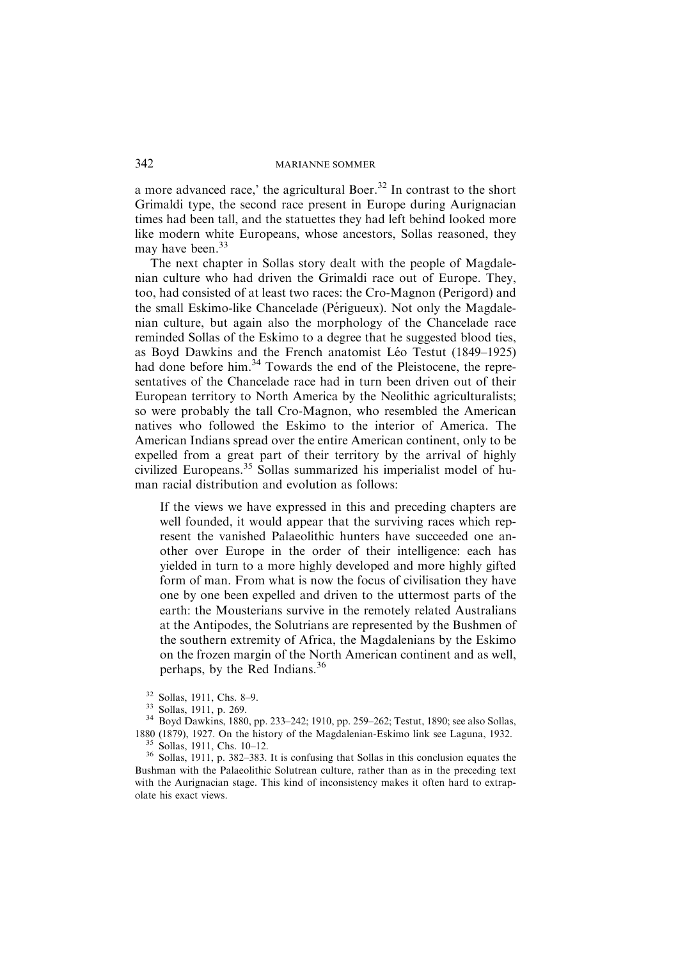a more advanced race,' the agricultural Boer.<sup>32</sup> In contrast to the short Grimaldi type, the second race present in Europe during Aurignacian times had been tall, and the statuettes they had left behind looked more like modern white Europeans, whose ancestors, Sollas reasoned, they may have been.<sup>33</sup>

The next chapter in Sollas story dealt with the people of Magdalenian culture who had driven the Grimaldi race out of Europe. They, too, had consisted of at least two races: the Cro-Magnon (Perigord) and the small Eskimo-like Chancelade (Périgueux). Not only the Magdalenian culture, but again also the morphology of the Chancelade race reminded Sollas of the Eskimo to a degree that he suggested blood ties, as Boyd Dawkins and the French anatomist Léo Testut (1849–1925) had done before him.<sup>34</sup> Towards the end of the Pleistocene, the representatives of the Chancelade race had in turn been driven out of their European territory to North America by the Neolithic agriculturalists; so were probably the tall Cro-Magnon, who resembled the American natives who followed the Eskimo to the interior of America. The American Indians spread over the entire American continent, only to be expelled from a great part of their territory by the arrival of highly civilized Europeans.35 Sollas summarized his imperialist model of human racial distribution and evolution as follows:

If the views we have expressed in this and preceding chapters are well founded, it would appear that the surviving races which represent the vanished Palaeolithic hunters have succeeded one another over Europe in the order of their intelligence: each has yielded in turn to a more highly developed and more highly gifted form of man. From what is now the focus of civilisation they have one by one been expelled and driven to the uttermost parts of the earth: the Mousterians survive in the remotely related Australians at the Antipodes, the Solutrians are represented by the Bushmen of the southern extremity of Africa, the Magdalenians by the Eskimo on the frozen margin of the North American continent and as well, perhaps, by the Red Indians.36

<sup>32</sup> Sollas, 1911, Chs. 8–9.<br><sup>33</sup> Sollas, 1911, p. 269.<br><sup>34</sup> Boyd Dawkins, 1880, pp. 233–242; 1910, pp. 259–262; Testut, 1890; see also Sollas, 1880 (1879), 1927. On the history of the Magdalenian-Eskimo link see Laguna,

<sup>35</sup> Sollas, 1911, Chs. 10–12.  $\frac{35}{36}$  Sollas, 1911, p. 382–383. It is confusing that Sollas in this conclusion equates the Bushman with the Palaeolithic Solutrean culture, rather than as in the preceding text with the Aurignacian stage. This kind of inconsistency makes it often hard to extrapolate his exact views.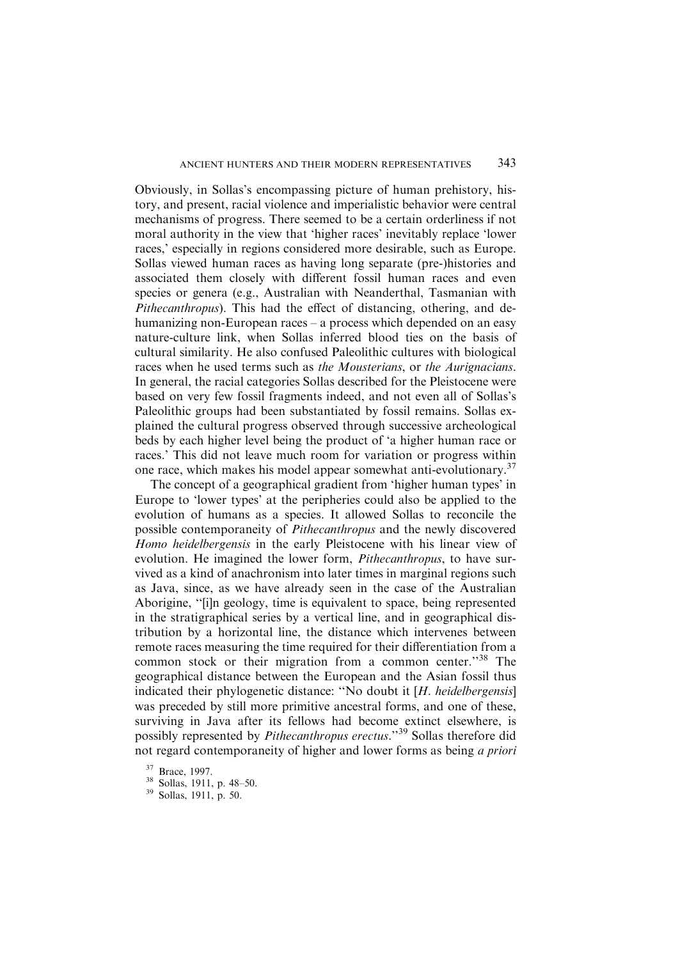Obviously, in Sollas's encompassing picture of human prehistory, history, and present, racial violence and imperialistic behavior were central mechanisms of progress. There seemed to be a certain orderliness if not moral authority in the view that 'higher races' inevitably replace 'lower races,' especially in regions considered more desirable, such as Europe. Sollas viewed human races as having long separate (pre-)histories and associated them closely with different fossil human races and even species or genera (e.g., Australian with Neanderthal, Tasmanian with Pithecanthropus). This had the effect of distancing, othering, and dehumanizing non-European races – a process which depended on an easy nature-culture link, when Sollas inferred blood ties on the basis of cultural similarity. He also confused Paleolithic cultures with biological races when he used terms such as the Mousterians, or the Aurignacians. In general, the racial categories Sollas described for the Pleistocene were based on very few fossil fragments indeed, and not even all of Sollas's Paleolithic groups had been substantiated by fossil remains. Sollas explained the cultural progress observed through successive archeological beds by each higher level being the product of 'a higher human race or races.' This did not leave much room for variation or progress within one race, which makes his model appear somewhat anti-evolutionary.37

The concept of a geographical gradient from 'higher human types' in Europe to 'lower types' at the peripheries could also be applied to the evolution of humans as a species. It allowed Sollas to reconcile the possible contemporaneity of Pithecanthropus and the newly discovered Homo heidelbergensis in the early Pleistocene with his linear view of evolution. He imagined the lower form, *Pithecanthropus*, to have survived as a kind of anachronism into later times in marginal regions such as Java, since, as we have already seen in the case of the Australian Aborigine, ''[i]n geology, time is equivalent to space, being represented in the stratigraphical series by a vertical line, and in geographical distribution by a horizontal line, the distance which intervenes between remote races measuring the time required for their differentiation from a common stock or their migration from a common center."<sup>38</sup> The geographical distance between the European and the Asian fossil thus indicated their phylogenetic distance: "No doubt it  $[H.$  heidelbergensis] was preceded by still more primitive ancestral forms, and one of these, surviving in Java after its fellows had become extinct elsewhere, is possibly represented by *Pithecanthropus erectus*."<sup>39</sup> Sollas therefore did not regard contemporaneity of higher and lower forms as being a priori

<sup>37</sup> Brace, 1997. <sup>38</sup> Sollas, 1911, p. 48–50. <sup>39</sup> Sollas, 1911, p. 50.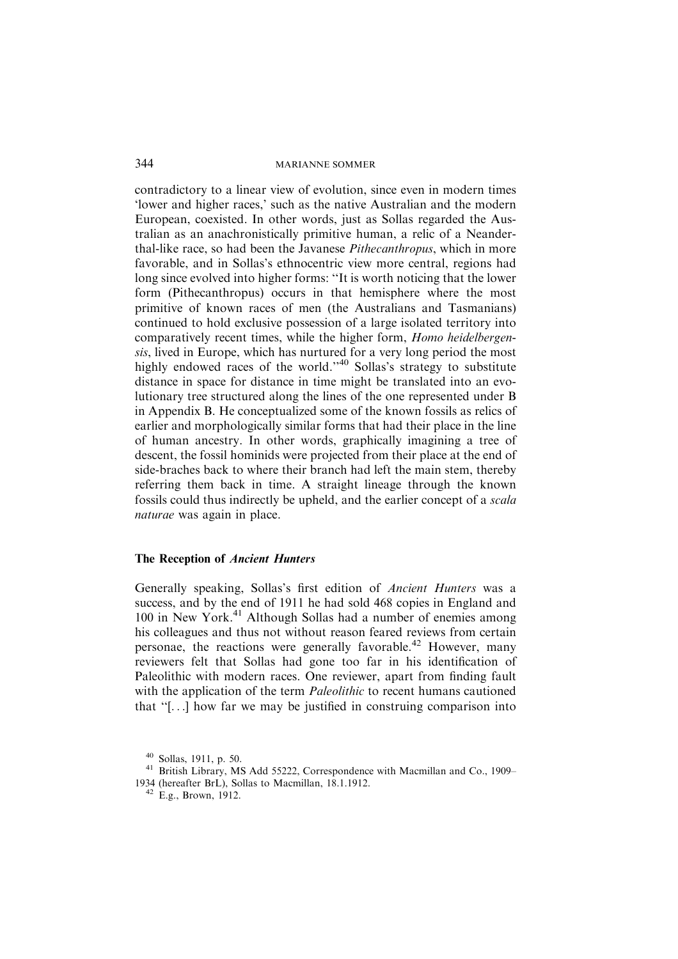contradictory to a linear view of evolution, since even in modern times 'lower and higher races,' such as the native Australian and the modern European, coexisted. In other words, just as Sollas regarded the Australian as an anachronistically primitive human, a relic of a Neanderthal-like race, so had been the Javanese Pithecanthropus, which in more favorable, and in Sollas's ethnocentric view more central, regions had long since evolved into higher forms: ''It is worth noticing that the lower form (Pithecanthropus) occurs in that hemisphere where the most primitive of known races of men (the Australians and Tasmanians) continued to hold exclusive possession of a large isolated territory into comparatively recent times, while the higher form, Homo heidelbergensis, lived in Europe, which has nurtured for a very long period the most highly endowed races of the world."<sup>40</sup> Sollas's strategy to substitute distance in space for distance in time might be translated into an evolutionary tree structured along the lines of the one represented under B in Appendix B. He conceptualized some of the known fossils as relics of earlier and morphologically similar forms that had their place in the line of human ancestry. In other words, graphically imagining a tree of descent, the fossil hominids were projected from their place at the end of side-braches back to where their branch had left the main stem, thereby referring them back in time. A straight lineage through the known fossils could thus indirectly be upheld, and the earlier concept of a scala naturae was again in place.

# The Reception of Ancient Hunters

Generally speaking, Sollas's first edition of Ancient Hunters was a success, and by the end of 1911 he had sold 468 copies in England and 100 in New York.<sup>41</sup> Although Sollas had a number of enemies among his colleagues and thus not without reason feared reviews from certain personae, the reactions were generally favorable.42 However, many reviewers felt that Sollas had gone too far in his identification of Paleolithic with modern races. One reviewer, apart from finding fault with the application of the term *Paleolithic* to recent humans cautioned that ''[...] how far we may be justified in construing comparison into

<sup>&</sup>lt;sup>40</sup> Sollas, 1911, p. 50.<br><sup>41</sup> British Library, MS Add 55222, Correspondence with Macmillan and Co., 1909– 1934 (hereafter BrL), Sollas to Macmillan, 18.1.1912. <sup>42</sup> E.g., Brown, 1912.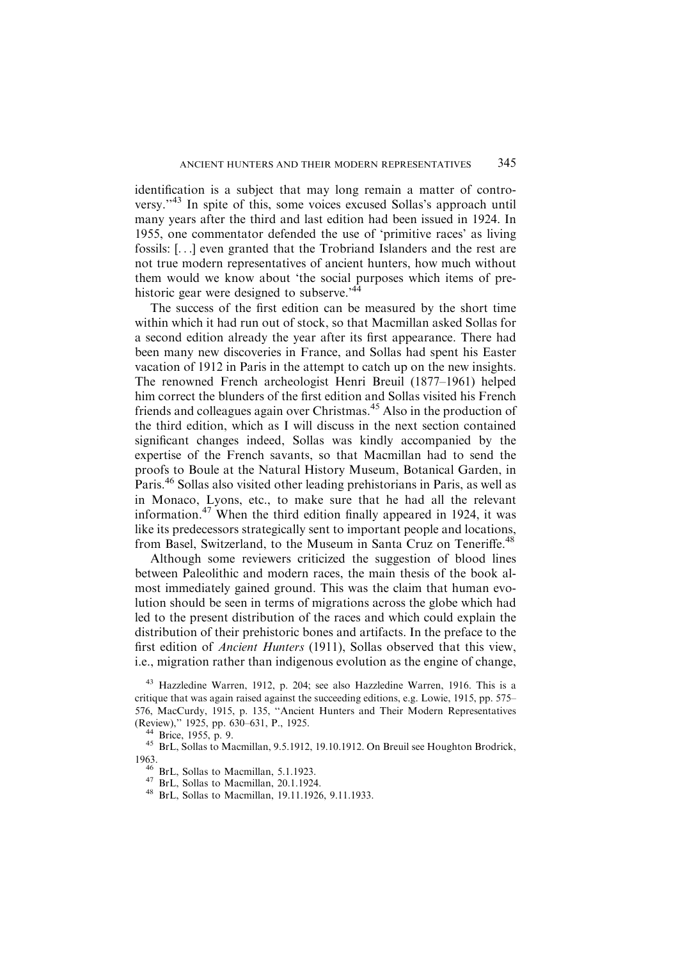identification is a subject that may long remain a matter of controversy.''43 In spite of this, some voices excused Sollas's approach until many years after the third and last edition had been issued in 1924. In 1955, one commentator defended the use of 'primitive races' as living fossils: [...] even granted that the Trobriand Islanders and the rest are not true modern representatives of ancient hunters, how much without them would we know about 'the social purposes which items of prehistoric gear were designed to subserve.<sup>'44</sup>

The success of the first edition can be measured by the short time within which it had run out of stock, so that Macmillan asked Sollas for a second edition already the year after its first appearance. There had been many new discoveries in France, and Sollas had spent his Easter vacation of 1912 in Paris in the attempt to catch up on the new insights. The renowned French archeologist Henri Breuil (1877–1961) helped him correct the blunders of the first edition and Sollas visited his French friends and colleagues again over Christmas.45 Also in the production of the third edition, which as I will discuss in the next section contained significant changes indeed, Sollas was kindly accompanied by the expertise of the French savants, so that Macmillan had to send the proofs to Boule at the Natural History Museum, Botanical Garden, in Paris.46 Sollas also visited other leading prehistorians in Paris, as well as in Monaco, Lyons, etc., to make sure that he had all the relevant information.<sup>47</sup> When the third edition finally appeared in 1924, it was like its predecessors strategically sent to important people and locations, from Basel, Switzerland, to the Museum in Santa Cruz on Teneriffe.<sup>48</sup>

Although some reviewers criticized the suggestion of blood lines between Paleolithic and modern races, the main thesis of the book almost immediately gained ground. This was the claim that human evolution should be seen in terms of migrations across the globe which had led to the present distribution of the races and which could explain the distribution of their prehistoric bones and artifacts. In the preface to the first edition of Ancient Hunters (1911), Sollas observed that this view, i.e., migration rather than indigenous evolution as the engine of change,

<sup>43</sup> Hazzledine Warren, 1912, p. 204; see also Hazzledine Warren, 1916. This is a critique that was again raised against the succeeding editions, e.g. Lowie, 1915, pp. 575– 576, MacCurdy, 1915, p. 135, ''Ancient Hunters and Their Modern Representatives

<sup>(</sup>Review)," 1925, pp. 630–631, P., 1925.<br>
<sup>44</sup> Brice, 1955, p. 9.<br>
<sup>45</sup> BrL, Sollas to Macmillan, 9.5.1912, 19.10.1912. On Breuil see Houghton Brodrick, 1963.  $^{46}$  BrL, Sollas to Macmillan, 5.1.1923.<br> $^{47}$  BrL, Sollas to Macmillan, 20.1.1924.<br> $^{48}$  BrL, Sollas to Macmillan, 19.11.1926, 9.11.1933.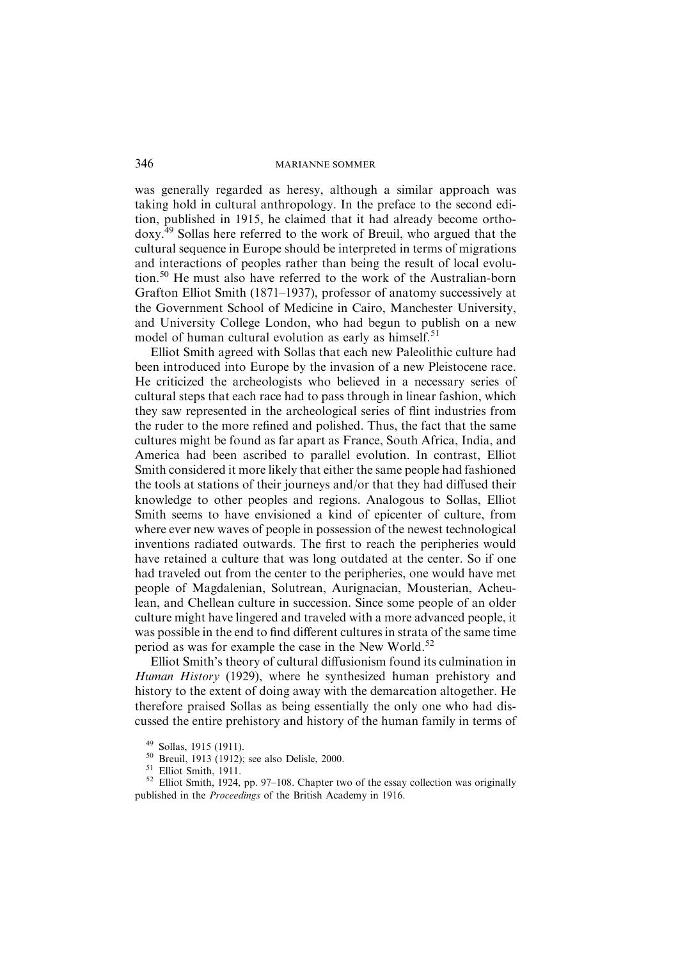was generally regarded as heresy, although a similar approach was taking hold in cultural anthropology. In the preface to the second edition, published in 1915, he claimed that it had already become orthodoxy.49 Sollas here referred to the work of Breuil, who argued that the cultural sequence in Europe should be interpreted in terms of migrations and interactions of peoples rather than being the result of local evolution.<sup>50</sup> He must also have referred to the work of the Australian-born Grafton Elliot Smith (1871–1937), professor of anatomy successively at the Government School of Medicine in Cairo, Manchester University, and University College London, who had begun to publish on a new model of human cultural evolution as early as himself.<sup>51</sup>

Elliot Smith agreed with Sollas that each new Paleolithic culture had been introduced into Europe by the invasion of a new Pleistocene race. He criticized the archeologists who believed in a necessary series of cultural steps that each race had to pass through in linear fashion, which they saw represented in the archeological series of flint industries from the ruder to the more refined and polished. Thus, the fact that the same cultures might be found as far apart as France, South Africa, India, and America had been ascribed to parallel evolution. In contrast, Elliot Smith considered it more likely that either the same people had fashioned the tools at stations of their journeys and/or that they had diffused their knowledge to other peoples and regions. Analogous to Sollas, Elliot Smith seems to have envisioned a kind of epicenter of culture, from where ever new waves of people in possession of the newest technological inventions radiated outwards. The first to reach the peripheries would have retained a culture that was long outdated at the center. So if one had traveled out from the center to the peripheries, one would have met people of Magdalenian, Solutrean, Aurignacian, Mousterian, Acheulean, and Chellean culture in succession. Since some people of an older culture might have lingered and traveled with a more advanced people, it was possible in the end to find different cultures in strata of the same time period as was for example the case in the New World.<sup>52</sup>

Elliot Smith's theory of cultural diffusionism found its culmination in Human History (1929), where he synthesized human prehistory and history to the extent of doing away with the demarcation altogether. He therefore praised Sollas as being essentially the only one who had discussed the entire prehistory and history of the human family in terms of

<sup>&</sup>lt;sup>49</sup> Sollas, 1915 (1911).<br><sup>50</sup> Breuil, 1913 (1912); see also Delisle, 2000.<br><sup>51</sup> Elliot Smith, 1911.<br><sup>52</sup> Elliot Smith, 1924, pp. 97–108. Chapter two of the essay collection was originally published in the Proceedings of the British Academy in 1916.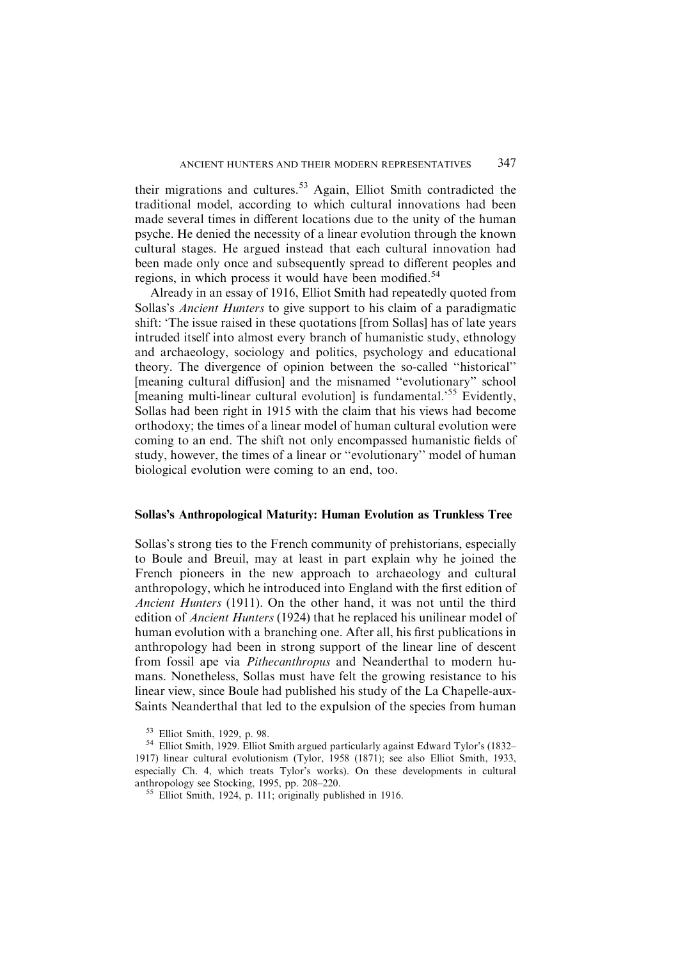their migrations and cultures.<sup>53</sup> Again, Elliot Smith contradicted the traditional model, according to which cultural innovations had been made several times in different locations due to the unity of the human psyche. He denied the necessity of a linear evolution through the known cultural stages. He argued instead that each cultural innovation had been made only once and subsequently spread to different peoples and regions, in which process it would have been modified.<sup>54</sup>

Already in an essay of 1916, Elliot Smith had repeatedly quoted from Sollas's Ancient Hunters to give support to his claim of a paradigmatic shift: 'The issue raised in these quotations [from Sollas] has of late years intruded itself into almost every branch of humanistic study, ethnology and archaeology, sociology and politics, psychology and educational theory. The divergence of opinion between the so-called ''historical'' [meaning cultural diffusion] and the misnamed ''evolutionary'' school [meaning multi-linear cultural evolution] is fundamental.'55 Evidently, Sollas had been right in 1915 with the claim that his views had become orthodoxy; the times of a linear model of human cultural evolution were coming to an end. The shift not only encompassed humanistic fields of study, however, the times of a linear or ''evolutionary'' model of human biological evolution were coming to an end, too.

#### Sollas's Anthropological Maturity: Human Evolution as Trunkless Tree

Sollas's strong ties to the French community of prehistorians, especially to Boule and Breuil, may at least in part explain why he joined the French pioneers in the new approach to archaeology and cultural anthropology, which he introduced into England with the first edition of Ancient Hunters (1911). On the other hand, it was not until the third edition of *Ancient Hunters* (1924) that he replaced his unilinear model of human evolution with a branching one. After all, his first publications in anthropology had been in strong support of the linear line of descent from fossil ape via Pithecanthropus and Neanderthal to modern humans. Nonetheless, Sollas must have felt the growing resistance to his linear view, since Boule had published his study of the La Chapelle-aux-Saints Neanderthal that led to the expulsion of the species from human

<sup>&</sup>lt;sup>53</sup> Elliot Smith, 1929, p. 98.<br><sup>54</sup> Elliot Smith, 1929. Elliot Smith argued particularly against Edward Tylor's (1832– 1917) linear cultural evolutionism (Tylor, 1958 (1871); see also Elliot Smith, 1933, especially Ch. 4, which treats Tylor's works). On these developments in cultural anthropology see Stocking, 1995, pp. 208–220. <sup>55</sup> Elliot Smith, 1924, p. 111; originally published in 1916.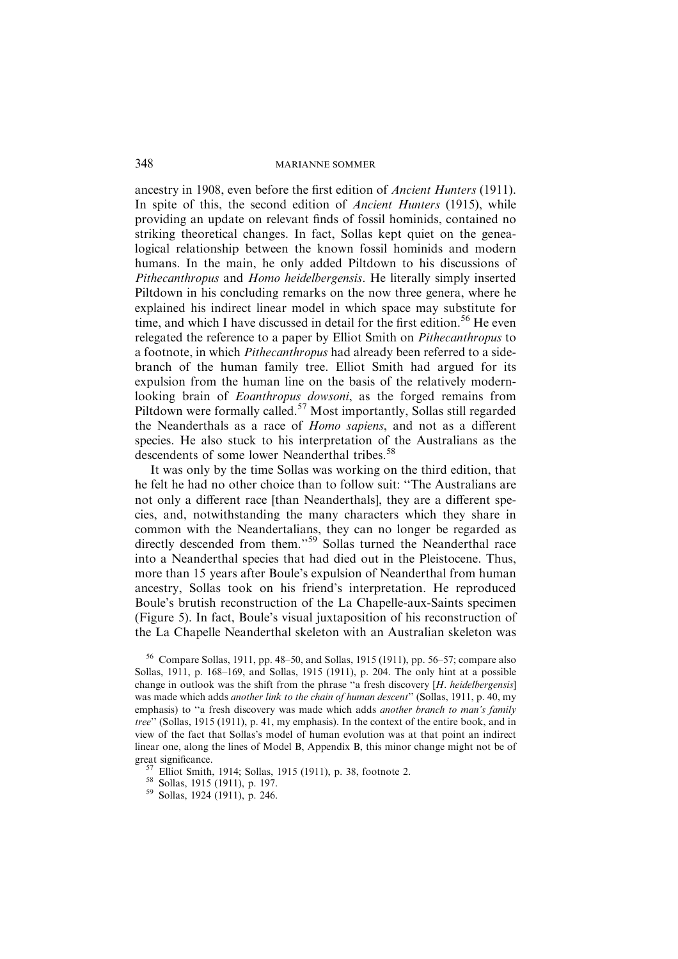ancestry in 1908, even before the first edition of Ancient Hunters (1911). In spite of this, the second edition of *Ancient Hunters* (1915), while providing an update on relevant finds of fossil hominids, contained no striking theoretical changes. In fact, Sollas kept quiet on the genealogical relationship between the known fossil hominids and modern humans. In the main, he only added Piltdown to his discussions of Pithecanthropus and Homo heidelbergensis. He literally simply inserted Piltdown in his concluding remarks on the now three genera, where he explained his indirect linear model in which space may substitute for time, and which I have discussed in detail for the first edition.<sup>56</sup> He even relegated the reference to a paper by Elliot Smith on Pithecanthropus to a footnote, in which Pithecanthropus had already been referred to a sidebranch of the human family tree. Elliot Smith had argued for its expulsion from the human line on the basis of the relatively modernlooking brain of Eoanthropus dowsoni, as the forged remains from Piltdown were formally called.<sup>57</sup> Most importantly, Sollas still regarded the Neanderthals as a race of Homo sapiens, and not as a different species. He also stuck to his interpretation of the Australians as the descendents of some lower Neanderthal tribes.<sup>58</sup>

It was only by the time Sollas was working on the third edition, that he felt he had no other choice than to follow suit: ''The Australians are not only a different race [than Neanderthals], they are a different species, and, notwithstanding the many characters which they share in common with the Neandertalians, they can no longer be regarded as directly descended from them."<sup>59</sup> Sollas turned the Neanderthal race into a Neanderthal species that had died out in the Pleistocene. Thus, more than 15 years after Boule's expulsion of Neanderthal from human ancestry, Sollas took on his friend's interpretation. He reproduced Boule's brutish reconstruction of the La Chapelle-aux-Saints specimen (Figure 5). In fact, Boule's visual juxtaposition of his reconstruction of the La Chapelle Neanderthal skeleton with an Australian skeleton was

<sup>56</sup> Compare Sollas, 1911, pp. 48–50, and Sollas, 1915 (1911), pp. 56–57; compare also Sollas, 1911, p. 168–169, and Sollas, 1915 (1911), p. 204. The only hint at a possible change in outlook was the shift from the phrase "a fresh discovery  $[H.$  heidelbergensis] was made which adds another link to the chain of human descent" (Sollas, 1911, p. 40, my emphasis) to "a fresh discovery was made which adds *another branch to man's family* tree'' (Sollas, 1915 (1911), p. 41, my emphasis). In the context of the entire book, and in view of the fact that Sollas's model of human evolution was at that point an indirect linear one, along the lines of Model B, Appendix B, this minor change might not be of great significance.<br>
<sup>57</sup> Elliot Smith, 1914; Sollas, 1915 (1911), p. 38, footnote 2.<br>
<sup>58</sup> Sollas, 1915 (1911), p. 197.<br>
Sollas, 1924 (1911), p. 246.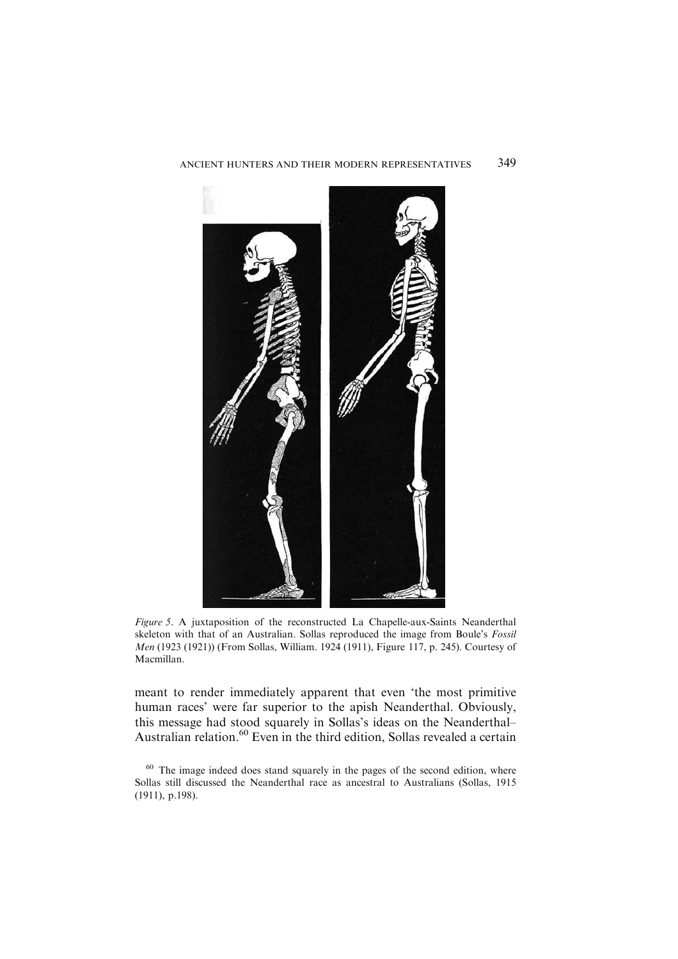

Figure 5. A juxtaposition of the reconstructed La Chapelle-aux-Saints Neanderthal skeleton with that of an Australian. Sollas reproduced the image from Boule's Fossil Men (1923 (1921)) (From Sollas, William. 1924 (1911), Figure 117, p. 245). Courtesy of Macmillan.

meant to render immediately apparent that even 'the most primitive human races' were far superior to the apish Neanderthal. Obviously, this message had stood squarely in Sollas's ideas on the Neanderthal– Australian relation.<sup>60</sup> Even in the third edition, Sollas revealed a certain

 $60$  The image indeed does stand squarely in the pages of the second edition, where Sollas still discussed the Neanderthal race as ancestral to Australians (Sollas, 1915 (1911), p.198).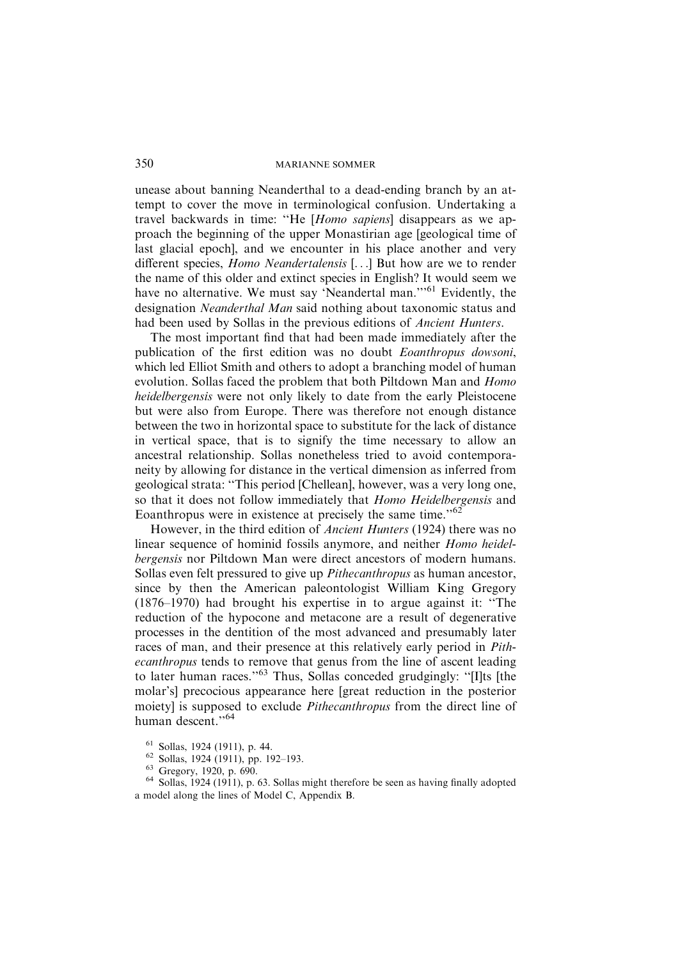unease about banning Neanderthal to a dead-ending branch by an attempt to cover the move in terminological confusion. Undertaking a travel backwards in time: ''He [Homo sapiens] disappears as we approach the beginning of the upper Monastirian age [geological time of last glacial epoch], and we encounter in his place another and very different species, *Homo Neandertalensis* [...] But how are we to render the name of this older and extinct species in English? It would seem we have no alternative. We must say 'Neandertal man."<sup>61</sup> Evidently, the designation Neanderthal Man said nothing about taxonomic status and had been used by Sollas in the previous editions of Ancient Hunters.

The most important find that had been made immediately after the publication of the first edition was no doubt Eoanthropus dowsoni, which led Elliot Smith and others to adopt a branching model of human evolution. Sollas faced the problem that both Piltdown Man and Homo heidelbergensis were not only likely to date from the early Pleistocene but were also from Europe. There was therefore not enough distance between the two in horizontal space to substitute for the lack of distance in vertical space, that is to signify the time necessary to allow an ancestral relationship. Sollas nonetheless tried to avoid contemporaneity by allowing for distance in the vertical dimension as inferred from geological strata: ''This period [Chellean], however, was a very long one, so that it does not follow immediately that Homo Heidelbergensis and Eoanthropus were in existence at precisely the same time.<sup>"62</sup>

However, in the third edition of Ancient Hunters (1924) there was no linear sequence of hominid fossils anymore, and neither Homo heidelbergensis nor Piltdown Man were direct ancestors of modern humans. Sollas even felt pressured to give up Pithecanthropus as human ancestor, since by then the American paleontologist William King Gregory (1876–1970) had brought his expertise in to argue against it: ''The reduction of the hypocone and metacone are a result of degenerative processes in the dentition of the most advanced and presumably later races of man, and their presence at this relatively early period in Pithecanthropus tends to remove that genus from the line of ascent leading to later human races."<sup>63</sup> Thus, Sollas conceded grudgingly: "[I]ts [the molar's] precocious appearance here [great reduction in the posterior moiety] is supposed to exclude Pithecanthropus from the direct line of human descent."<sup>64</sup>

<sup>61</sup> Sollas, 1924 (1911), p. 44.<br><sup>62</sup> Sollas, 1924 (1911), pp. 192–193.<br><sup>63</sup> Gregory, 1920, p. 690.<br><sup>64</sup> Sollas, 1924 (1911), p. 63. Sollas might therefore be seen as having finally adopted a model along the lines of Model C, Appendix B.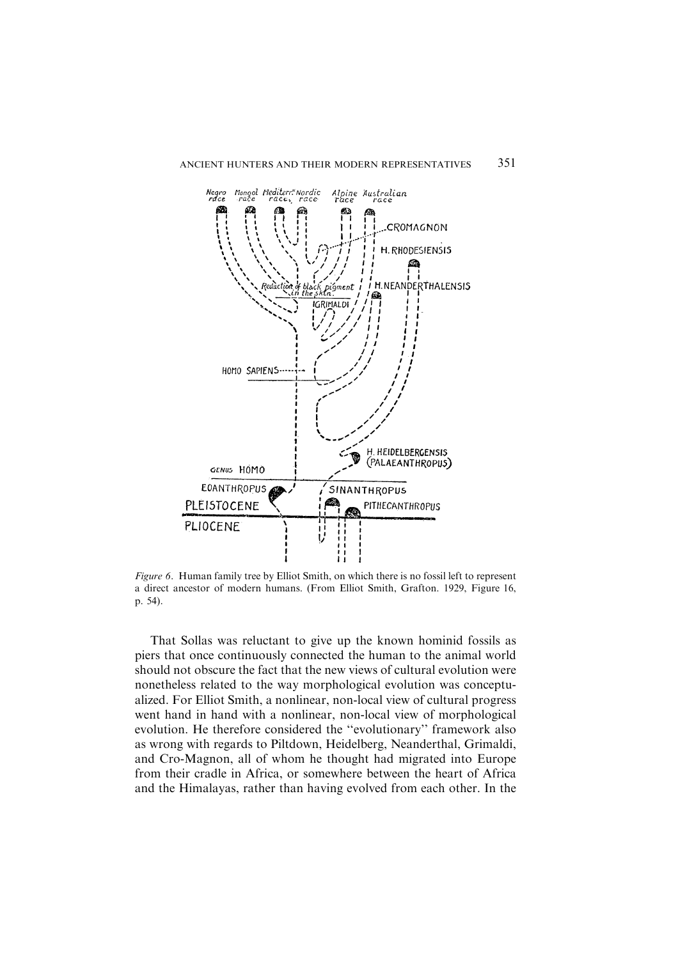

Figure 6. Human family tree by Elliot Smith, on which there is no fossil left to represent a direct ancestor of modern humans. (From Elliot Smith, Grafton. 1929, Figure 16, p. 54).

That Sollas was reluctant to give up the known hominid fossils as piers that once continuously connected the human to the animal world should not obscure the fact that the new views of cultural evolution were nonetheless related to the way morphological evolution was conceptualized. For Elliot Smith, a nonlinear, non-local view of cultural progress went hand in hand with a nonlinear, non-local view of morphological evolution. He therefore considered the ''evolutionary'' framework also as wrong with regards to Piltdown, Heidelberg, Neanderthal, Grimaldi, and Cro-Magnon, all of whom he thought had migrated into Europe from their cradle in Africa, or somewhere between the heart of Africa and the Himalayas, rather than having evolved from each other. In the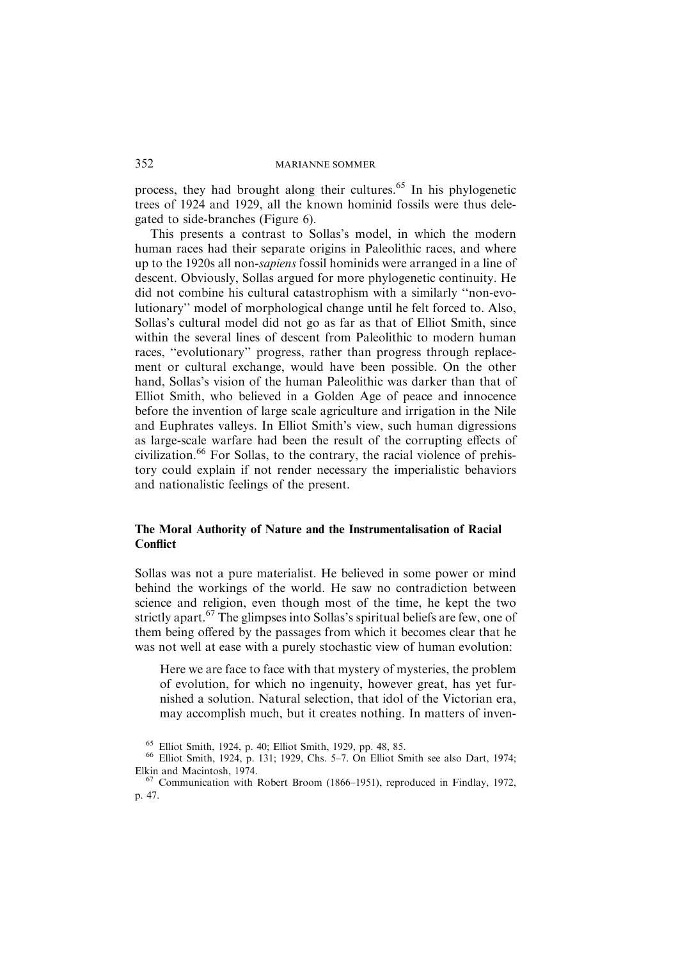process, they had brought along their cultures.<sup>65</sup> In his phylogenetic trees of 1924 and 1929, all the known hominid fossils were thus delegated to side-branches (Figure 6).

This presents a contrast to Sollas's model, in which the modern human races had their separate origins in Paleolithic races, and where up to the 1920s all non-sapiens fossil hominids were arranged in a line of descent. Obviously, Sollas argued for more phylogenetic continuity. He did not combine his cultural catastrophism with a similarly ''non-evolutionary'' model of morphological change until he felt forced to. Also, Sollas's cultural model did not go as far as that of Elliot Smith, since within the several lines of descent from Paleolithic to modern human races, ''evolutionary'' progress, rather than progress through replacement or cultural exchange, would have been possible. On the other hand, Sollas's vision of the human Paleolithic was darker than that of Elliot Smith, who believed in a Golden Age of peace and innocence before the invention of large scale agriculture and irrigation in the Nile and Euphrates valleys. In Elliot Smith's view, such human digressions as large-scale warfare had been the result of the corrupting effects of civilization.66 For Sollas, to the contrary, the racial violence of prehistory could explain if not render necessary the imperialistic behaviors and nationalistic feelings of the present.

# The Moral Authority of Nature and the Instrumentalisation of Racial **Conflict**

Sollas was not a pure materialist. He believed in some power or mind behind the workings of the world. He saw no contradiction between science and religion, even though most of the time, he kept the two strictly apart.<sup>67</sup> The glimpses into Sollas's spiritual beliefs are few, one of them being offered by the passages from which it becomes clear that he was not well at ease with a purely stochastic view of human evolution:

Here we are face to face with that mystery of mysteries, the problem of evolution, for which no ingenuity, however great, has yet furnished a solution. Natural selection, that idol of the Victorian era, may accomplish much, but it creates nothing. In matters of inven-

<sup>&</sup>lt;sup>65</sup> Elliot Smith, 1924, p. 40; Elliot Smith, 1929, pp. 48, 85.<br><sup>66</sup> Elliot Smith, 1924, p. 131; 1929, Chs. 5–7. On Elliot Smith see also Dart, 1974; Elkin and Macintosh, 1974.<br><sup>67</sup> Communication with Robert Broom (1866–1951), reproduced in Findlay, 1972,

p. 47.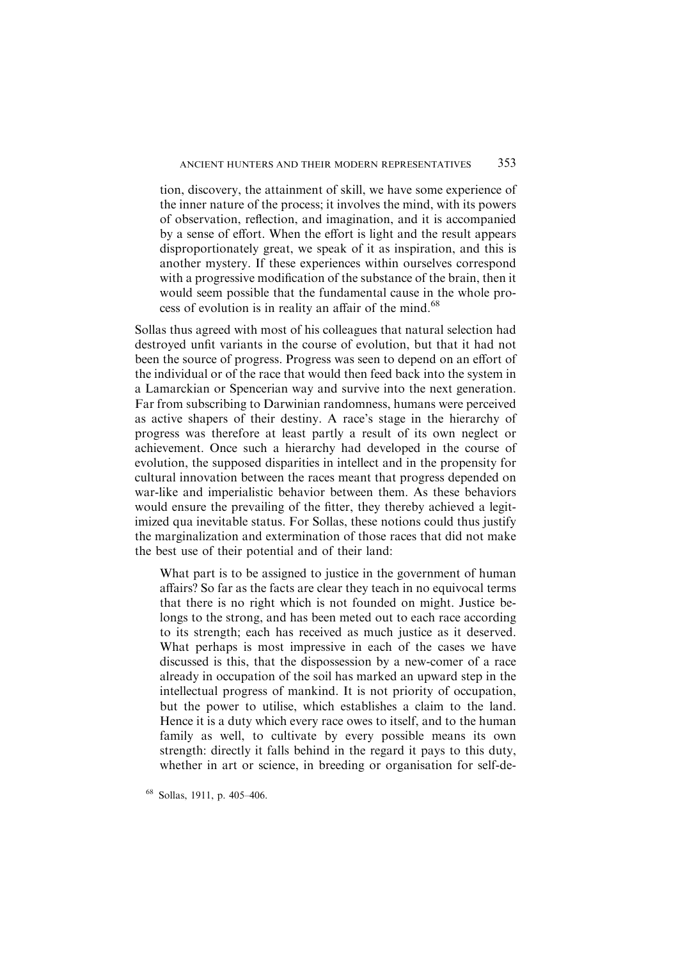tion, discovery, the attainment of skill, we have some experience of the inner nature of the process; it involves the mind, with its powers of observation, reflection, and imagination, and it is accompanied by a sense of effort. When the effort is light and the result appears disproportionately great, we speak of it as inspiration, and this is another mystery. If these experiences within ourselves correspond with a progressive modification of the substance of the brain, then it would seem possible that the fundamental cause in the whole process of evolution is in reality an affair of the mind.<sup>68</sup>

Sollas thus agreed with most of his colleagues that natural selection had destroyed unfit variants in the course of evolution, but that it had not been the source of progress. Progress was seen to depend on an effort of the individual or of the race that would then feed back into the system in a Lamarckian or Spencerian way and survive into the next generation. Far from subscribing to Darwinian randomness, humans were perceived as active shapers of their destiny. A race's stage in the hierarchy of progress was therefore at least partly a result of its own neglect or achievement. Once such a hierarchy had developed in the course of evolution, the supposed disparities in intellect and in the propensity for cultural innovation between the races meant that progress depended on war-like and imperialistic behavior between them. As these behaviors would ensure the prevailing of the fitter, they thereby achieved a legitimized qua inevitable status. For Sollas, these notions could thus justify the marginalization and extermination of those races that did not make the best use of their potential and of their land:

What part is to be assigned to justice in the government of human affairs? So far as the facts are clear they teach in no equivocal terms that there is no right which is not founded on might. Justice belongs to the strong, and has been meted out to each race according to its strength; each has received as much justice as it deserved. What perhaps is most impressive in each of the cases we have discussed is this, that the dispossession by a new-comer of a race already in occupation of the soil has marked an upward step in the intellectual progress of mankind. It is not priority of occupation, but the power to utilise, which establishes a claim to the land. Hence it is a duty which every race owes to itself, and to the human family as well, to cultivate by every possible means its own strength: directly it falls behind in the regard it pays to this duty, whether in art or science, in breeding or organisation for self-de-

<sup>68</sup> Sollas, 1911, p. 405–406.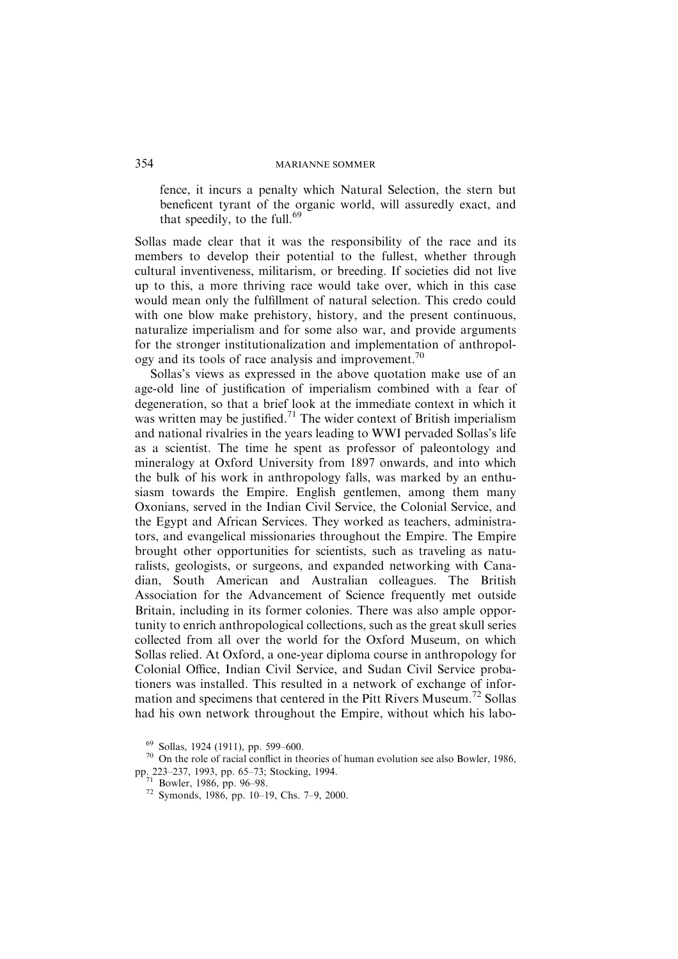fence, it incurs a penalty which Natural Selection, the stern but beneficent tyrant of the organic world, will assuredly exact, and that speedily, to the full. $69$ 

Sollas made clear that it was the responsibility of the race and its members to develop their potential to the fullest, whether through cultural inventiveness, militarism, or breeding. If societies did not live up to this, a more thriving race would take over, which in this case would mean only the fulfillment of natural selection. This credo could with one blow make prehistory, history, and the present continuous, naturalize imperialism and for some also war, and provide arguments for the stronger institutionalization and implementation of anthropology and its tools of race analysis and improvement.<sup>70</sup>

Sollas's views as expressed in the above quotation make use of an age-old line of justification of imperialism combined with a fear of degeneration, so that a brief look at the immediate context in which it was written may be justified.<sup>71</sup> The wider context of British imperialism and national rivalries in the years leading to WWI pervaded Sollas's life as a scientist. The time he spent as professor of paleontology and mineralogy at Oxford University from 1897 onwards, and into which the bulk of his work in anthropology falls, was marked by an enthusiasm towards the Empire. English gentlemen, among them many Oxonians, served in the Indian Civil Service, the Colonial Service, and the Egypt and African Services. They worked as teachers, administrators, and evangelical missionaries throughout the Empire. The Empire brought other opportunities for scientists, such as traveling as naturalists, geologists, or surgeons, and expanded networking with Canadian, South American and Australian colleagues. The British Association for the Advancement of Science frequently met outside Britain, including in its former colonies. There was also ample opportunity to enrich anthropological collections, such as the great skull series collected from all over the world for the Oxford Museum, on which Sollas relied. At Oxford, a one-year diploma course in anthropology for Colonial Office, Indian Civil Service, and Sudan Civil Service probationers was installed. This resulted in a network of exchange of information and specimens that centered in the Pitt Rivers Museum.<sup>72</sup> Sollas had his own network throughout the Empire, without which his labo-

<sup>69</sup> Sollas, 1924 (1911), pp. 599–600.<br><sup>70</sup> On the role of racial conflict in theories of human evolution see also Bowler, 1986, pp. 223–237, 1993, pp. 65–73; Stocking, 1994. <sup>71</sup> Bowler, 1986, pp. 96–98. <sup>72</sup> Symonds, 1986, pp. 10–19, Chs. 7–9, 2000.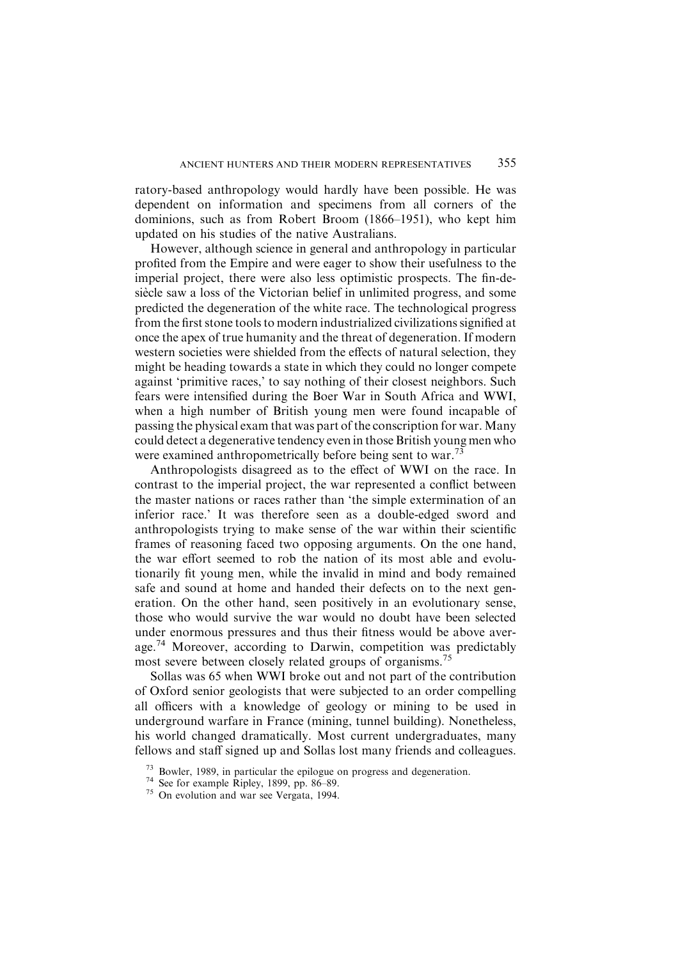ratory-based anthropology would hardly have been possible. He was dependent on information and specimens from all corners of the dominions, such as from Robert Broom (1866–1951), who kept him updated on his studies of the native Australians.

However, although science in general and anthropology in particular profited from the Empire and were eager to show their usefulness to the imperial project, there were also less optimistic prospects. The fin-desiècle saw a loss of the Victorian belief in unlimited progress, and some predicted the degeneration of the white race. The technological progress from the first stone tools to modern industrialized civilizations signified at once the apex of true humanity and the threat of degeneration. If modern western societies were shielded from the effects of natural selection, they might be heading towards a state in which they could no longer compete against 'primitive races,' to say nothing of their closest neighbors. Such fears were intensified during the Boer War in South Africa and WWI, when a high number of British young men were found incapable of passing the physical exam that was part of the conscription for war. Many could detect a degenerative tendency even in those British young men who were examined anthropometrically before being sent to war.<sup>73</sup>

Anthropologists disagreed as to the effect of WWI on the race. In contrast to the imperial project, the war represented a conflict between the master nations or races rather than 'the simple extermination of an inferior race.' It was therefore seen as a double-edged sword and anthropologists trying to make sense of the war within their scientific frames of reasoning faced two opposing arguments. On the one hand, the war effort seemed to rob the nation of its most able and evolutionarily fit young men, while the invalid in mind and body remained safe and sound at home and handed their defects on to the next generation. On the other hand, seen positively in an evolutionary sense, those who would survive the war would no doubt have been selected under enormous pressures and thus their fitness would be above average.<sup>74</sup> Moreover, according to Darwin, competition was predictably most severe between closely related groups of organisms.<sup>75</sup>

Sollas was 65 when WWI broke out and not part of the contribution of Oxford senior geologists that were subjected to an order compelling all officers with a knowledge of geology or mining to be used in underground warfare in France (mining, tunnel building). Nonetheless, his world changed dramatically. Most current undergraduates, many fellows and staff signed up and Sollas lost many friends and colleagues.

<sup>&</sup>lt;sup>73</sup> Bowler, 1989, in particular the epilogue on progress and degeneration. <sup>74</sup> See for example Ripley, 1899, pp. 86–89. <sup>75</sup> On evolution and war see Vergata, 1994.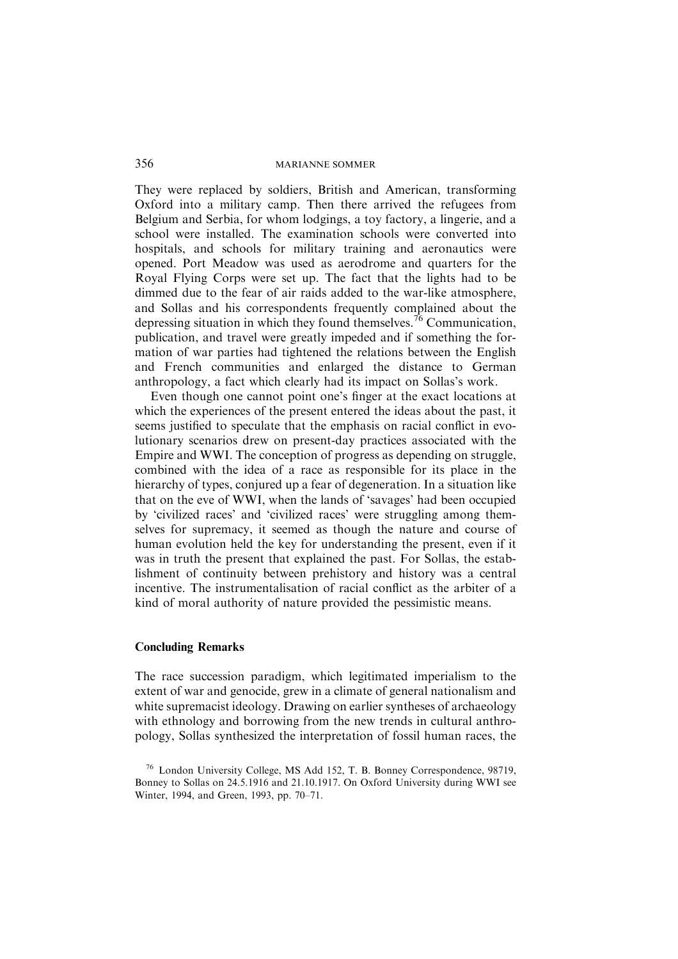They were replaced by soldiers, British and American, transforming Oxford into a military camp. Then there arrived the refugees from Belgium and Serbia, for whom lodgings, a toy factory, a lingerie, and a school were installed. The examination schools were converted into hospitals, and schools for military training and aeronautics were opened. Port Meadow was used as aerodrome and quarters for the Royal Flying Corps were set up. The fact that the lights had to be dimmed due to the fear of air raids added to the war-like atmosphere, and Sollas and his correspondents frequently complained about the depressing situation in which they found themselves.<sup>76</sup> Communication, publication, and travel were greatly impeded and if something the formation of war parties had tightened the relations between the English and French communities and enlarged the distance to German anthropology, a fact which clearly had its impact on Sollas's work.

Even though one cannot point one's finger at the exact locations at which the experiences of the present entered the ideas about the past, it seems justified to speculate that the emphasis on racial conflict in evolutionary scenarios drew on present-day practices associated with the Empire and WWI. The conception of progress as depending on struggle, combined with the idea of a race as responsible for its place in the hierarchy of types, conjured up a fear of degeneration. In a situation like that on the eve of WWI, when the lands of 'savages' had been occupied by 'civilized races' and 'civilized races' were struggling among themselves for supremacy, it seemed as though the nature and course of human evolution held the key for understanding the present, even if it was in truth the present that explained the past. For Sollas, the establishment of continuity between prehistory and history was a central incentive. The instrumentalisation of racial conflict as the arbiter of a kind of moral authority of nature provided the pessimistic means.

# Concluding Remarks

The race succession paradigm, which legitimated imperialism to the extent of war and genocide, grew in a climate of general nationalism and white supremacist ideology. Drawing on earlier syntheses of archaeology with ethnology and borrowing from the new trends in cultural anthropology, Sollas synthesized the interpretation of fossil human races, the

<sup>76</sup> London University College, MS Add 152, T. B. Bonney Correspondence, 98719, Bonney to Sollas on 24.5.1916 and 21.10.1917. On Oxford University during WWI see Winter, 1994, and Green, 1993, pp. 70–71.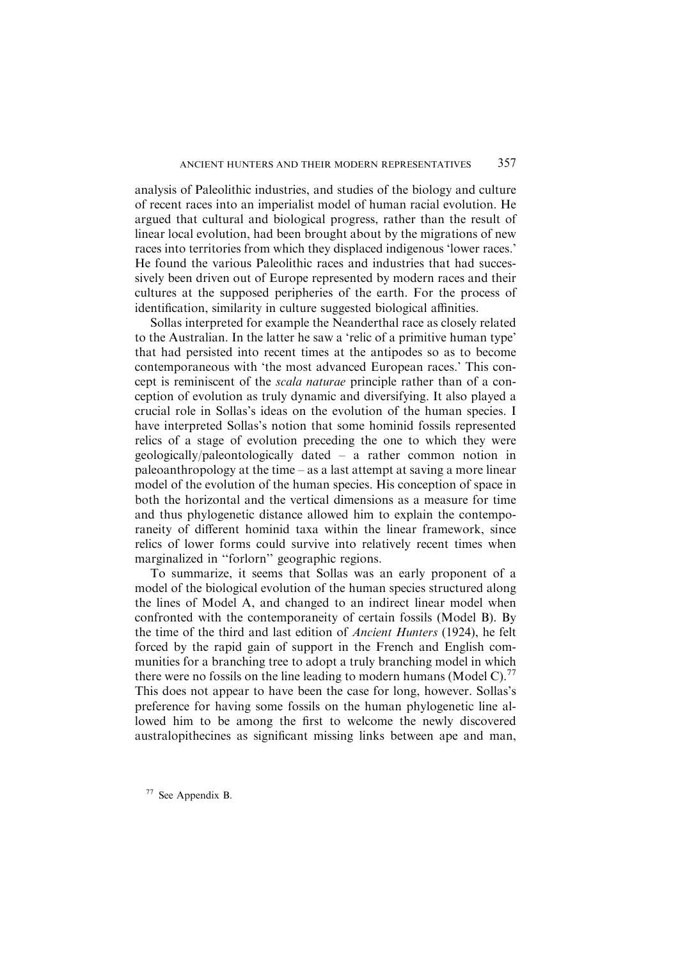analysis of Paleolithic industries, and studies of the biology and culture of recent races into an imperialist model of human racial evolution. He argued that cultural and biological progress, rather than the result of linear local evolution, had been brought about by the migrations of new races into territories from which they displaced indigenous 'lower races.' He found the various Paleolithic races and industries that had successively been driven out of Europe represented by modern races and their cultures at the supposed peripheries of the earth. For the process of identification, similarity in culture suggested biological affinities.

Sollas interpreted for example the Neanderthal race as closely related to the Australian. In the latter he saw a 'relic of a primitive human type' that had persisted into recent times at the antipodes so as to become contemporaneous with 'the most advanced European races.' This concept is reminiscent of the scala naturae principle rather than of a conception of evolution as truly dynamic and diversifying. It also played a crucial role in Sollas's ideas on the evolution of the human species. I have interpreted Sollas's notion that some hominid fossils represented relics of a stage of evolution preceding the one to which they were geologically/paleontologically dated – a rather common notion in paleoanthropology at the time – as a last attempt at saving a more linear model of the evolution of the human species. His conception of space in both the horizontal and the vertical dimensions as a measure for time and thus phylogenetic distance allowed him to explain the contemporaneity of different hominid taxa within the linear framework, since relics of lower forms could survive into relatively recent times when marginalized in ''forlorn'' geographic regions.

To summarize, it seems that Sollas was an early proponent of a model of the biological evolution of the human species structured along the lines of Model A, and changed to an indirect linear model when confronted with the contemporaneity of certain fossils (Model B). By the time of the third and last edition of Ancient Hunters (1924), he felt forced by the rapid gain of support in the French and English communities for a branching tree to adopt a truly branching model in which there were no fossils on the line leading to modern humans (Model C).<sup>77</sup> This does not appear to have been the case for long, however. Sollas's preference for having some fossils on the human phylogenetic line allowed him to be among the first to welcome the newly discovered australopithecines as significant missing links between ape and man,

<sup>77</sup> See Appendix B.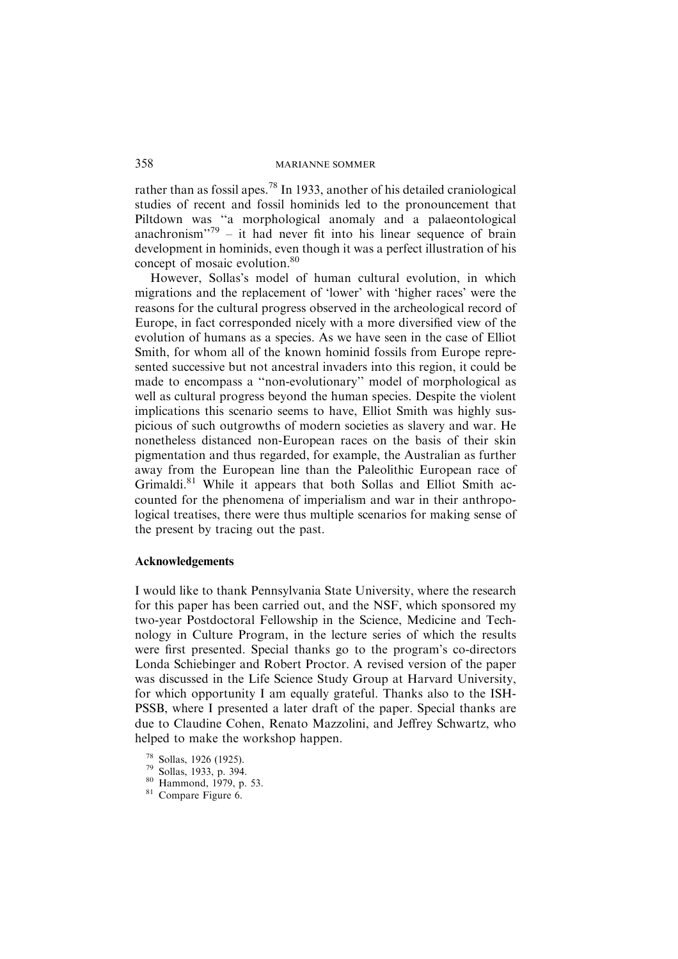rather than as fossil apes.<sup>78</sup> In 1933, another of his detailed craniological studies of recent and fossil hominids led to the pronouncement that Piltdown was ''a morphological anomaly and a palaeontological anachronism $179$  – it had never fit into his linear sequence of brain development in hominids, even though it was a perfect illustration of his concept of mosaic evolution.<sup>80</sup>

However, Sollas's model of human cultural evolution, in which migrations and the replacement of 'lower' with 'higher races' were the reasons for the cultural progress observed in the archeological record of Europe, in fact corresponded nicely with a more diversified view of the evolution of humans as a species. As we have seen in the case of Elliot Smith, for whom all of the known hominid fossils from Europe represented successive but not ancestral invaders into this region, it could be made to encompass a ''non-evolutionary'' model of morphological as well as cultural progress beyond the human species. Despite the violent implications this scenario seems to have, Elliot Smith was highly suspicious of such outgrowths of modern societies as slavery and war. He nonetheless distanced non-European races on the basis of their skin pigmentation and thus regarded, for example, the Australian as further away from the European line than the Paleolithic European race of Grimaldi.<sup>81</sup> While it appears that both Sollas and Elliot Smith accounted for the phenomena of imperialism and war in their anthropological treatises, there were thus multiple scenarios for making sense of the present by tracing out the past.

#### Acknowledgements

I would like to thank Pennsylvania State University, where the research for this paper has been carried out, and the NSF, which sponsored my two-year Postdoctoral Fellowship in the Science, Medicine and Technology in Culture Program, in the lecture series of which the results were first presented. Special thanks go to the program's co-directors Londa Schiebinger and Robert Proctor. A revised version of the paper was discussed in the Life Science Study Group at Harvard University, for which opportunity I am equally grateful. Thanks also to the ISH-PSSB, where I presented a later draft of the paper. Special thanks are due to Claudine Cohen, Renato Mazzolini, and Jeffrey Schwartz, who helped to make the workshop happen.

- 
- 
- <sup>78</sup> Sollas, 1926 (1925).<br><sup>79</sup> Sollas, 1933, p. 394.<br><sup>80</sup> Hammond, 1979, p. 53.<br><sup>81</sup> Compare Figure 6.
-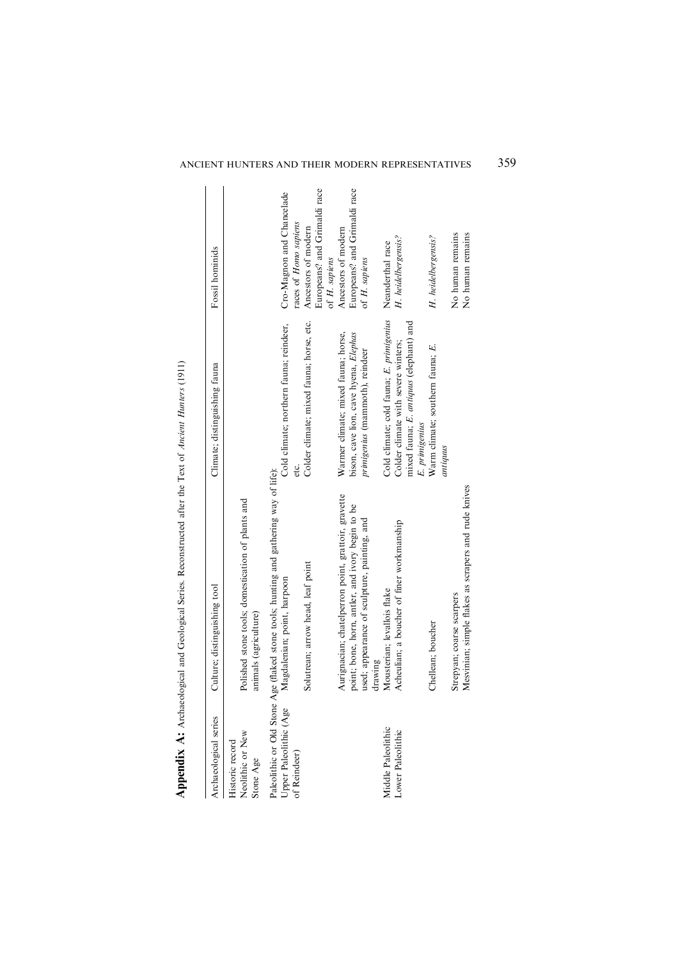| Archaeological series                            | Culture; distinguishing tool                                                                                                                                       | Climate; distinguishing fauna                                                                                                                | Fossil hominids                                                      |
|--------------------------------------------------|--------------------------------------------------------------------------------------------------------------------------------------------------------------------|----------------------------------------------------------------------------------------------------------------------------------------------|----------------------------------------------------------------------|
| Neolithic or New<br>Historic record<br>Stone Age | Polished stone tools; domestication of plants and<br>animals (agriculture)                                                                                         |                                                                                                                                              |                                                                      |
| Jpper Paleolithic (Age<br>of Reindeer)           | Paleolithic or Old Stone Age (flaked stone tools; hunting and gathering way of life):<br>Magdalenian; point, harpoon                                               | Cold climate; northern fauna; reindeer,<br>etc.                                                                                              | Cro-Magnon and Chancelade<br>races of Homo sapiens                   |
|                                                  | Solutrean; arrow head, leaf point                                                                                                                                  | Colder climate; mixed fauna; horse, etc.                                                                                                     | Europeans? and Grimaldi race<br>Ancestors of modern<br>of H. sapiens |
|                                                  | Aurignacian; chatelperron point, grattoir, gravette<br>point; bone, horn, antler, and ivory begin to be<br>used; appearance of sculpture, painting, and<br>drawing | Warmer climate; mixed fauna; horse,<br>bison, cave lion, cave hyena, Elephas<br>primigenius (mammoth), reindeer                              | Europeans? and Grimaldi race<br>Ancestors of modern<br>of H. sapiens |
| Middle Paleolithic<br>Lower Paleolithic          | Acheulian; a boucher of finer workmanship<br>Mousterian; levallois flake                                                                                           | Cold climate; cold fauna; E. primigenius<br>mixed fauna; E. antiquus (elephant) and<br>Colder climate with severe winters;<br>E. primigenius | H. heidelbergensis?<br>Neanderthal race                              |
|                                                  | Chellean; boucher                                                                                                                                                  | Warm climate; southern fauna; E.<br>antiquus                                                                                                 | H. heidelbergensis?                                                  |
|                                                  | Mesvinian; simple flakes as scrapers and rude knives<br>Strepyan; coarse scarpers                                                                                  |                                                                                                                                              | No human remains<br>No human remains                                 |

Appendix A: Archaeological and Geological Series. Reconstructed after the Text of Ancient Hunters (1911) Appendix A: Archaeological and Geological Series. Reconstructed after the Text of Ancient Hunters (1911)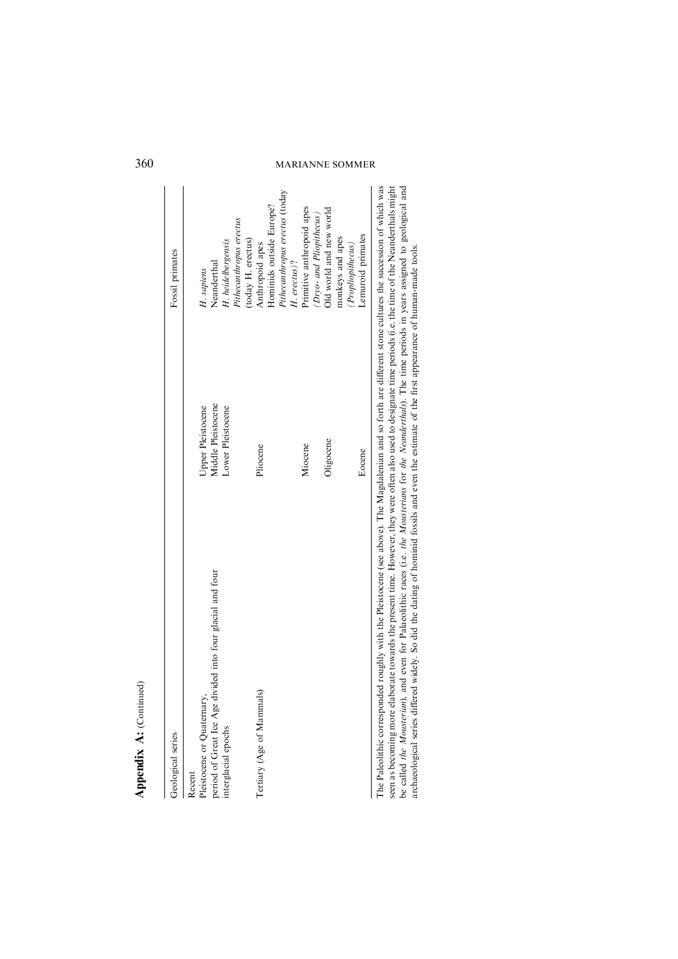| ٢<br>í |
|--------|

| Geological series                                                                                                                                                                                                                                                                                                                                                                                                                                                                                                                                                                                                                                 |                          | Fossil primates                |
|---------------------------------------------------------------------------------------------------------------------------------------------------------------------------------------------------------------------------------------------------------------------------------------------------------------------------------------------------------------------------------------------------------------------------------------------------------------------------------------------------------------------------------------------------------------------------------------------------------------------------------------------------|--------------------------|--------------------------------|
| Pleistocene or Quaternary,<br>Recent                                                                                                                                                                                                                                                                                                                                                                                                                                                                                                                                                                                                              | <b>Upper Pleistocene</b> | H. sapiens                     |
| period of Great Ice Age divided into four glacial and four                                                                                                                                                                                                                                                                                                                                                                                                                                                                                                                                                                                        | Middle Pleistocene       | Neanderthal                    |
| interglacial epochs                                                                                                                                                                                                                                                                                                                                                                                                                                                                                                                                                                                                                               | Lower Pleistocene        | H. heidelbergensis             |
|                                                                                                                                                                                                                                                                                                                                                                                                                                                                                                                                                                                                                                                   |                          | Pithecanthropus erectus        |
|                                                                                                                                                                                                                                                                                                                                                                                                                                                                                                                                                                                                                                                   |                          | (today H. erectus)             |
| Tertiary (Age of Mammals)                                                                                                                                                                                                                                                                                                                                                                                                                                                                                                                                                                                                                         | Pliocene                 | Anthropoid apes                |
|                                                                                                                                                                                                                                                                                                                                                                                                                                                                                                                                                                                                                                                   |                          | Hominids outside Europe?       |
|                                                                                                                                                                                                                                                                                                                                                                                                                                                                                                                                                                                                                                                   |                          | Pithecanthropus erectus (today |
|                                                                                                                                                                                                                                                                                                                                                                                                                                                                                                                                                                                                                                                   |                          | H. erectus)?                   |
|                                                                                                                                                                                                                                                                                                                                                                                                                                                                                                                                                                                                                                                   | Miocene                  | Primitive anthropoid apes      |
|                                                                                                                                                                                                                                                                                                                                                                                                                                                                                                                                                                                                                                                   |                          | (Dryo- and Pliopithecus)       |
|                                                                                                                                                                                                                                                                                                                                                                                                                                                                                                                                                                                                                                                   | Oligocene                | Old world and new world        |
|                                                                                                                                                                                                                                                                                                                                                                                                                                                                                                                                                                                                                                                   |                          | monkeys and apes               |
|                                                                                                                                                                                                                                                                                                                                                                                                                                                                                                                                                                                                                                                   |                          | (Propliopithecus)              |
|                                                                                                                                                                                                                                                                                                                                                                                                                                                                                                                                                                                                                                                   | Eocene                   | Lemuroid primates              |
| The Paleolithic corresponded roughly with the Pleistocene (see above). The Magdalenian and so forth are different stone cultures the succession of which was<br>seen as becoming more elaborate towards the present time. However, they were often also used to designate time periods (i.e. the time of the Neanderthals might<br>be called the Mousterian), and even for Palaeolithic races (i.e. the Mousterians for the Neanderthals). The time periods in years assigned to geological and<br>archaeological series differed widely. So did the dating of hominid fossils and even the estimate of the first appearance of human-made tools. |                          |                                |
|                                                                                                                                                                                                                                                                                                                                                                                                                                                                                                                                                                                                                                                   |                          |                                |

# 360 MARIANNE SOMMER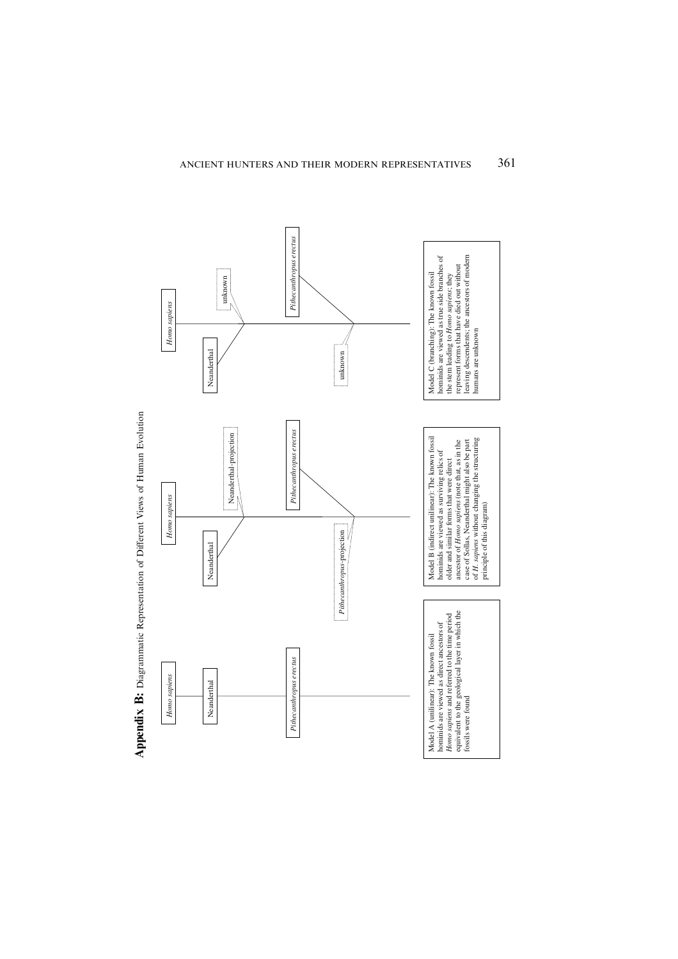

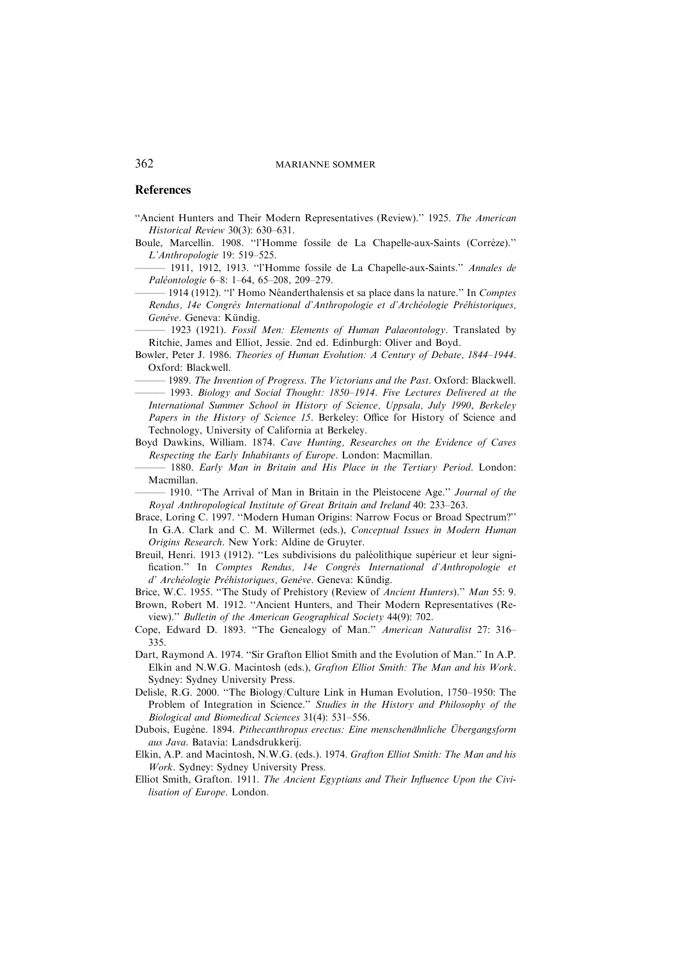#### References

- "Ancient Hunters and Their Modern Representatives (Review)." 1925. The American Historical Review 30(3): 630–631.
- Boule, Marcellin. 1908. "l'Homme fossile de La Chapelle-aux-Saints (Corrèze)." L'Anthropologie 19: 519–525.
	- 1911, 1912, 1913. "l'Homme fossile de La Chapelle-aux-Saints." Annales de Paléontologie 6-8: 1-64, 65-208, 209-279.
	- 1914 (1912). "I' Homo Néanderthalensis et sa place dans la nature." In Comptes Rendus, 14e Congrès International d'Anthropologie et d'Archéologie Préhistoriques, Genève. Geneva: Kündig.
- 1923 (1921). Fossil Men: Elements of Human Palaeontology. Translated by Ritchie, James and Elliot, Jessie. 2nd ed. Edinburgh: Oliver and Boyd.
- Bowler, Peter J. 1986. Theories of Human Evolution: A Century of Debate, 1844-1944. Oxford: Blackwell.
- 1989. The Invention of Progress. The Victorians and the Past. Oxford: Blackwell. 1993. Biology and Social Thought: 1850-1914. Five Lectures Delivered at the International Summer School in History of Science, Uppsala, July 1990, Berkeley Papers in the History of Science 15. Berkeley: Office for History of Science and Technology, University of California at Berkeley.
- Boyd Dawkins, William. 1874. Cave Hunting, Researches on the Evidence of Caves Respecting the Early Inhabitants of Europe. London: Macmillan.
- 1880. Early Man in Britain and His Place in the Tertiary Period. London: Macmillan.
- 1910. "The Arrival of Man in Britain in the Pleistocene Age." Journal of the Royal Anthropological Institute of Great Britain and Ireland 40: 233–263.
- Brace, Loring C. 1997. ''Modern Human Origins: Narrow Focus or Broad Spectrum?'' In G.A. Clark and C. M. Willermet (eds.), Conceptual Issues in Modern Human Origins Research. New York: Aldine de Gruyter.
- Breuil, Henri. 1913 (1912). "Les subdivisions du paléolithique supérieur et leur signification." In Comptes Rendus, 14e Congrès International d'Anthropologie et d' Archéologie Préhistoriques, Genève. Geneva: Kündig.
- Brice, W.C. 1955. "The Study of Prehistory (Review of Ancient Hunters)." Man 55: 9. Brown, Robert M. 1912. ''Ancient Hunters, and Their Modern Representatives (Re-
- view)." Bulletin of the American Geographical Society 44(9): 702.
- Cope, Edward D. 1893. ''The Genealogy of Man.'' American Naturalist 27: 316– 335.
- Dart, Raymond A. 1974. ''Sir Grafton Elliot Smith and the Evolution of Man.'' In A.P. Elkin and N.W.G. Macintosh (eds.), Grafton Elliot Smith: The Man and his Work. Sydney: Sydney University Press.
- Delisle, R.G. 2000. ''The Biology/Culture Link in Human Evolution, 1750–1950: The Problem of Integration in Science.'' Studies in the History and Philosophy of the Biological and Biomedical Sciences 31(4): 531–556.
- Dubois, Eugène. 1894. Pithecanthropus erectus: Eine menschenähnliche Übergangsform aus Java. Batavia: Landsdrukkerij.
- Elkin, A.P. and Macintosh, N.W.G. (eds.). 1974. Grafton Elliot Smith: The Man and his Work. Sydney: Sydney University Press.
- Elliot Smith, Grafton. 1911. The Ancient Egyptians and Their Influence Upon the Civilisation of Europe. London.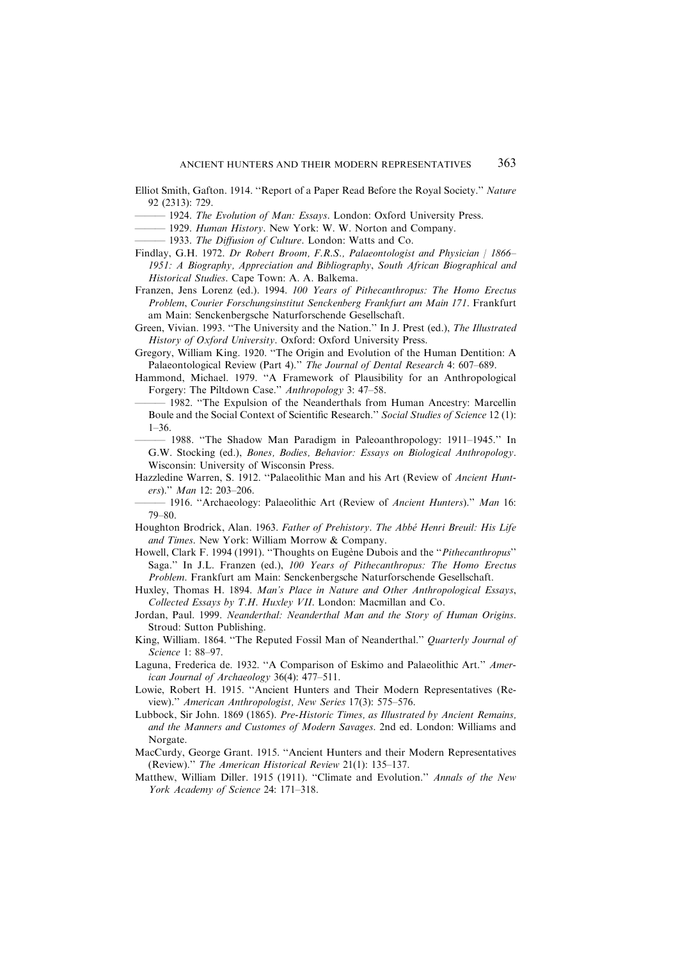- Elliot Smith, Gafton. 1914. ''Report of a Paper Read Before the Royal Society.'' Nature 92 (2313): 729.
	- 1924. The Evolution of Man: Essays. London: Oxford University Press.
	- 1929. Human History. New York: W. W. Norton and Company.

- 1933. The Diffusion of Culture. London: Watts and Co.

- Findlay, G.H. 1972. Dr Robert Broom, F.R.S., Palaeontologist and Physician / 1866– 1951: A Biography, Appreciation and Bibliography, South African Biographical and Historical Studies. Cape Town: A. A. Balkema.
- Franzen, Jens Lorenz (ed.). 1994. 100 Years of Pithecanthropus: The Homo Erectus Problem, Courier Forschungsinstitut Senckenberg Frankfurt am Main 171. Frankfurt am Main: Senckenbergsche Naturforschende Gesellschaft.
- Green, Vivian. 1993. "The University and the Nation." In J. Prest (ed.), The Illustrated History of Oxford University. Oxford: Oxford University Press.
- Gregory, William King. 1920. ''The Origin and Evolution of the Human Dentition: A Palaeontological Review (Part 4)." The Journal of Dental Research 4: 607-689.
- Hammond, Michael. 1979. ''A Framework of Plausibility for an Anthropological Forgery: The Piltdown Case.'' Anthropology 3: 47–58.
- 1982. "The Expulsion of the Neanderthals from Human Ancestry: Marcellin Boule and the Social Context of Scientific Research.'' Social Studies of Science 12 (1): 1–36.
- 1988. "The Shadow Man Paradigm in Paleoanthropology: 1911-1945." In G.W. Stocking (ed.), Bones, Bodies, Behavior: Essays on Biological Anthropology. Wisconsin: University of Wisconsin Press.
- Hazzledine Warren, S. 1912. "Palaeolithic Man and his Art (Review of Ancient Hunters).'' Man 12: 203–206.
- 1916. "Archaeology: Palaeolithic Art (Review of Ancient Hunters)." Man 16: 79–80.
- Houghton Brodrick, Alan. 1963. Father of Prehistory. The Abbé Henri Breuil: His Life and Times. New York: William Morrow & Company.
- Howell, Clark F. 1994 (1991). "Thoughts on Eugène Dubois and the "Pithecanthropus" Saga.'' In J.L. Franzen (ed.), 100 Years of Pithecanthropus: The Homo Erectus Problem. Frankfurt am Main: Senckenbergsche Naturforschende Gesellschaft.
- Huxley, Thomas H. 1894. Man's Place in Nature and Other Anthropological Essays, Collected Essays by T.H. Huxley VII. London: Macmillan and Co.
- Jordan, Paul. 1999. Neanderthal: Neanderthal Man and the Story of Human Origins. Stroud: Sutton Publishing.
- King, William. 1864. "The Reputed Fossil Man of Neanderthal." Quarterly Journal of Science 1: 88–97.
- Laguna, Frederica de. 1932. "A Comparison of Eskimo and Palaeolithic Art." American Journal of Archaeology 36(4): 477–511.
- Lowie, Robert H. 1915. ''Ancient Hunters and Their Modern Representatives (Review).'' American Anthropologist, New Series 17(3): 575–576.
- Lubbock, Sir John. 1869 (1865). Pre-Historic Times, as Illustrated by Ancient Remains, and the Manners and Customes of Modern Savages. 2nd ed. London: Williams and Norgate.
- MacCurdy, George Grant. 1915. ''Ancient Hunters and their Modern Representatives (Review).'' The American Historical Review 21(1): 135–137.
- Matthew, William Diller. 1915 (1911). ''Climate and Evolution.'' Annals of the New York Academy of Science 24: 171–318.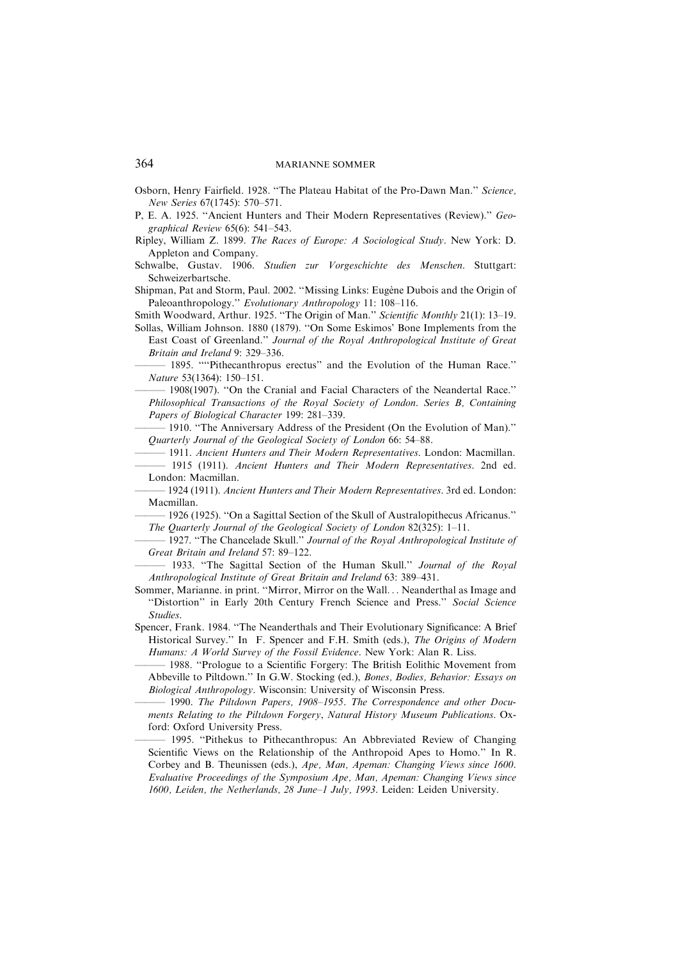- Osborn, Henry Fairfield. 1928. ''The Plateau Habitat of the Pro-Dawn Man.'' Science, New Series 67(1745): 570–571.
- P, E. A. 1925. ''Ancient Hunters and Their Modern Representatives (Review).'' Geographical Review 65(6): 541–543.
- Ripley, William Z. 1899. The Races of Europe: A Sociological Study. New York: D. Appleton and Company.
- Schwalbe, Gustav. 1906. Studien zur Vorgeschichte des Menschen. Stuttgart: Schweizerbartsche.
- Shipman, Pat and Storm, Paul. 2002. "Missing Links: Eugène Dubois and the Origin of Paleoanthropology.'' Evolutionary Anthropology 11: 108–116.
- Smith Woodward, Arthur. 1925. ''The Origin of Man.'' Scientific Monthly 21(1): 13–19. Sollas, William Johnson. 1880 (1879). ''On Some Eskimos' Bone Implements from the
- East Coast of Greenland.'' Journal of the Royal Anthropological Institute of Great Britain and Ireland 9: 329–336.
- 1895. ""Pithecanthropus erectus" and the Evolution of the Human Race." Nature 53(1364): 150–151.
- ——— 1908(1907). ''On the Cranial and Facial Characters of the Neandertal Race.'' Philosophical Transactions of the Royal Society of London. Series B, Containing Papers of Biological Character 199: 281–339.
- 1910. "The Anniversary Address of the President (On the Evolution of Man)." Quarterly Journal of the Geological Society of London 66: 54–88.
- 1911. Ancient Hunters and Their Modern Representatives. London: Macmillan. 1915 (1911). Ancient Hunters and Their Modern Representatives. 2nd ed.
- London: Macmillan. 1924 (1911). Ancient Hunters and Their Modern Representatives. 3rd ed. London: Macmillan.
- ——— 1926 (1925). ''On a Sagittal Section of the Skull of Australopithecus Africanus.'' The Quarterly Journal of the Geological Society of London 82(325): 1–11.
- 1927. "The Chancelade Skull." Journal of the Royal Anthropological Institute of Great Britain and Ireland 57: 89–122.

1933. "The Sagittal Section of the Human Skull." Journal of the Royal Anthropological Institute of Great Britain and Ireland 63: 389–431.

- Sommer, Marianne. in print. ''Mirror, Mirror on the Wall... Neanderthal as Image and ''Distortion'' in Early 20th Century French Science and Press.'' Social Science Studies.
- Spencer, Frank. 1984. ''The Neanderthals and Their Evolutionary Significance: A Brief Historical Survey." In F. Spencer and F.H. Smith (eds.), The Origins of Modern Humans: A World Survey of the Fossil Evidence. New York: Alan R. Liss.
- 1988. "Prologue to a Scientific Forgery: The British Eolithic Movement from Abbeville to Piltdown.'' In G.W. Stocking (ed.), Bones, Bodies, Behavior: Essays on Biological Anthropology. Wisconsin: University of Wisconsin Press.
- 1990. The Piltdown Papers, 1908-1955. The Correspondence and other Documents Relating to the Piltdown Forgery, Natural History Museum Publications. Oxford: Oxford University Press.
- 1995. "Pithekus to Pithecanthropus: An Abbreviated Review of Changing Scientific Views on the Relationship of the Anthropoid Apes to Homo.'' In R. Corbey and B. Theunissen (eds.), Ape, Man, Apeman: Changing Views since 1600. Evaluative Proceedings of the Symposium Ape, Man, Apeman: Changing Views since 1600, Leiden, the Netherlands, 28 June-1 July, 1993. Leiden: Leiden University.